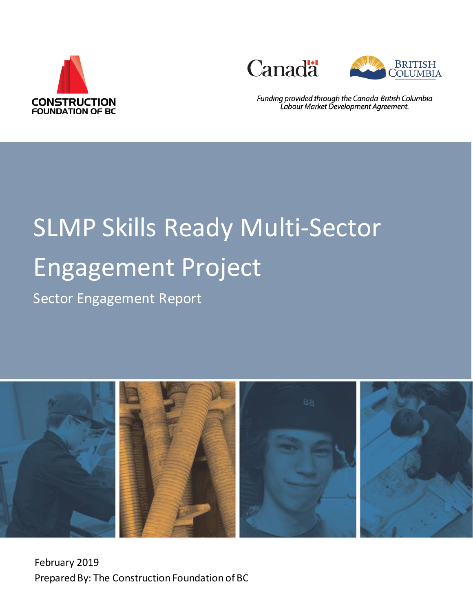





Funding provided through the Canada-British Columbia Labour Market Development Agreement.

# SLMP Skills Ready Multi-Sector Engagement Project

Sector Engagement Report



February 2019 Prepared By: The Construction Foundation of BC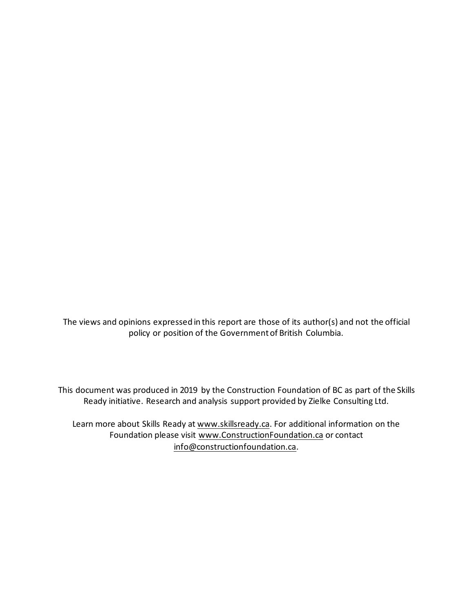The views and opinions expressed in this report are those of its author(s) and not the official policy or position of the Government of British Columbia.

This document was produced in 2019 by the Construction Foundation of BC as part of the Skills Ready initiative. Research and analysis support provided by Zielke Consulting Ltd.

Learn more about Skills Ready at [www.skillsready.ca.](http://www.skillsready.ca/) For additional information on the Foundation please visit [www.ConstructionFoundation.ca](http://www.constructionfoundation.ca/) or contact [info@constructionfoundation.ca.](mailto:info@constructionfoundation.ca)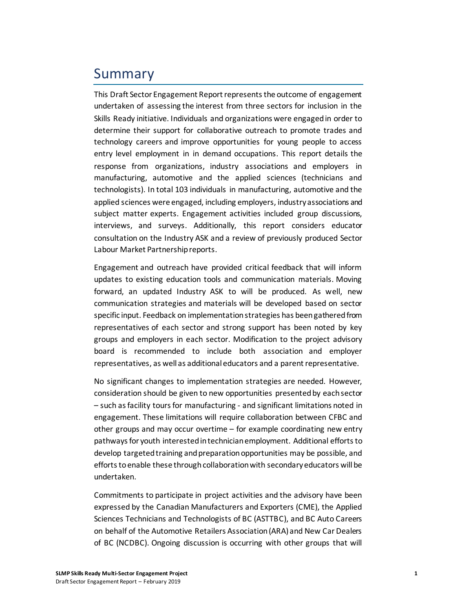### Summary

This Draft Sector Engagement Report represents the outcome of engagement undertaken of assessing the interest from three sectors for inclusion in the Skills Ready initiative. Individuals and organizations were engaged in order to determine their support for collaborative outreach to promote trades and technology careers and improve opportunities for young people to access entry level employment in in demand occupations. This report details the response from organizations, industry associations and employers in manufacturing, automotive and the applied sciences (technicians and technologists). In total 103 individuals in manufacturing, automotive and the applied sciences were engaged, including employers, industry associations and subject matter experts. Engagement activities included group discussions, interviews, and surveys. Additionally, this report considers educator consultation on the Industry ASK and a review of previously produced Sector Labour Market Partnership reports.

Engagement and outreach have provided critical feedback that will inform updates to existing education tools and communication materials. Moving forward, an updated Industry ASK to will be produced. As well, new communication strategies and materials will be developed based on sector specific input. Feedback on implementation strategies has been gathered from representatives of each sector and strong support has been noted by key groups and employers in each sector. Modification to the project advisory board is recommended to include both association and employer representatives, as well as additional educators and a parent representative.

No significant changes to implementation strategies are needed. However, consideration should be given to new opportunities presented by each sector – such as facility tours for manufacturing - and significant limitations noted in engagement. These limitations will require collaboration between CFBC and other groups and may occur overtime – for example coordinating new entry pathways for youth interested in technician employment. Additional efforts to develop targeted training and preparation opportunities may be possible, and efforts to enable these through collaboration with secondary educators will be undertaken.

Commitments to participate in project activities and the advisory have been expressed by the Canadian Manufacturers and Exporters (CME), the Applied Sciences Technicians and Technologists of BC (ASTTBC), and BC Auto Careers on behalf of the Automotive Retailers Association (ARA) and New Car Dealers of BC (NCDBC). Ongoing discussion is occurring with other groups that will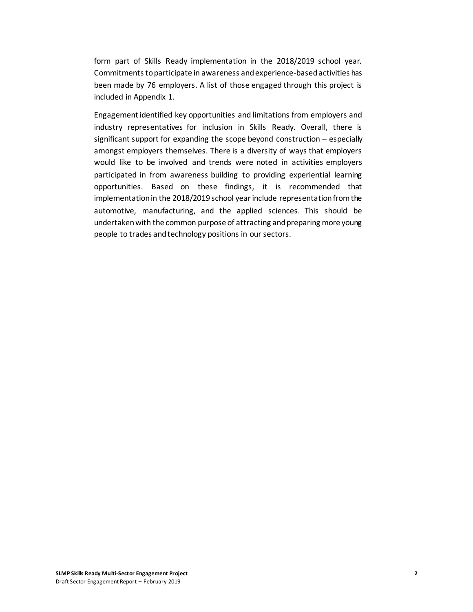form part of Skills Ready implementation in the 2018/2019 school year. Commitments to participate in awareness and experience-based activities has been made by 76 employers. A list of those engaged through this project is included in Appendix 1.

Engagement identified key opportunities and limitations from employers and industry representatives for inclusion in Skills Ready. Overall, there is significant support for expanding the scope beyond construction – especially amongst employers themselves. There is a diversity of ways that employers would like to be involved and trends were noted in activities employers participated in from awareness building to providing experiential learning opportunities. Based on these findings, it is recommended that implementation in the 2018/2019 school year include representation from the automotive, manufacturing, and the applied sciences. This should be undertaken with the common purpose of attracting and preparing more young people to trades and technology positions in our sectors.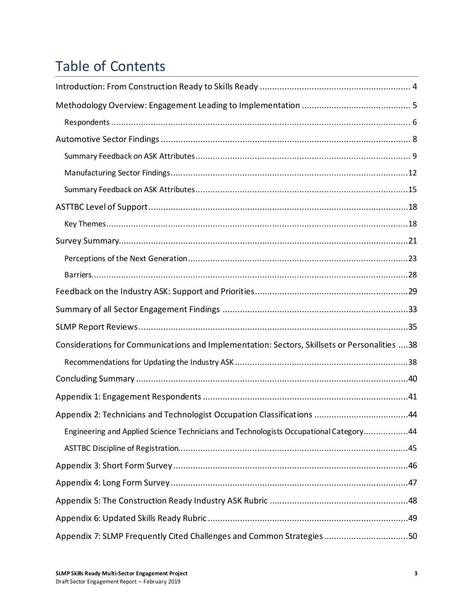# Table of Contents

| Considerations for Communications and Implementation: Sectors, Skillsets or Personalities 38 |
|----------------------------------------------------------------------------------------------|
|                                                                                              |
|                                                                                              |
|                                                                                              |
|                                                                                              |
| Engineering and Applied Science Technicians and Technologists Occupational Category44        |
|                                                                                              |
|                                                                                              |
|                                                                                              |
|                                                                                              |
|                                                                                              |
| Appendix 7: SLMP Frequently Cited Challenges and Common Strategies 50                        |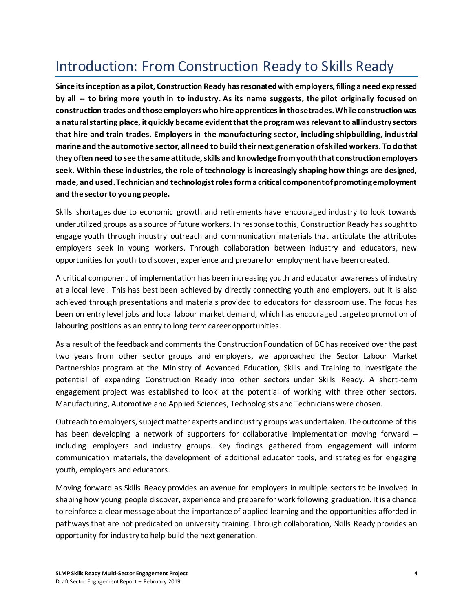# <span id="page-7-0"></span>Introduction: From Construction Ready to Skills Ready

**Since its inception as a pilot, Construction Ready has resonated with employers, filling a need expressed by all -- to bring more youth in to industry. As its name suggests, the pilot originally focused on construction trades and those employers who hire apprentices in those trades. While construction was a natural starting place, it quickly became evident that the program was relevant to all industry sectors that hire and train trades. Employers in the manufacturing sector, including shipbuilding, industrial marine and the automotive sector, allneed to build their next generation of skilled workers. To do that they often need to see the same attitude, skills and knowledge from youth that construction employers seek. Within these industries, the role of technology is increasingly shaping how things are designed, made, and used. Technician and technologist roles form a critical component of promoting employment and the sector to young people.**

Skills shortages due to economic growth and retirements have encouraged industry to look towards underutilized groups as a source of future workers. In response to this, Construction Ready has sought to engage youth through industry outreach and communication materials that articulate the attributes employers seek in young workers. Through collaboration between industry and educators, new opportunities for youth to discover, experience and prepare for employment have been created.

A critical component of implementation has been increasing youth and educator awareness of industry at a local level. This has best been achieved by directly connecting youth and employers, but it is also achieved through presentations and materials provided to educators for classroom use. The focus has been on entry level jobs and local labour market demand, which has encouraged targeted promotion of labouring positions as an entry to long term career opportunities.

As a result of the feedback and comments the Construction Foundation of BC has received over the past two years from other sector groups and employers, we approached the Sector Labour Market Partnerships program at the Ministry of Advanced Education, Skills and Training to investigate the potential of expanding Construction Ready into other sectors under Skills Ready. A short-term engagement project was established to look at the potential of working with three other sectors. Manufacturing, Automotive and Applied Sciences, Technologists and Technicians were chosen.

Outreach to employers, subject matter experts and industry groups was undertaken. The outcome of this has been developing a network of supporters for collaborative implementation moving forward – including employers and industry groups. Key findings gathered from engagement will inform communication materials, the development of additional educator tools, and strategies for engaging youth, employers and educators.

Moving forward as Skills Ready provides an avenue for employers in multiple sectors to be involved in shaping how young people discover, experience and prepare for work following graduation. It is a chance to reinforce a clear message about the importance of applied learning and the opportunities afforded in pathways that are not predicated on university training. Through collaboration, Skills Ready provides an opportunity for industry to help build the next generation.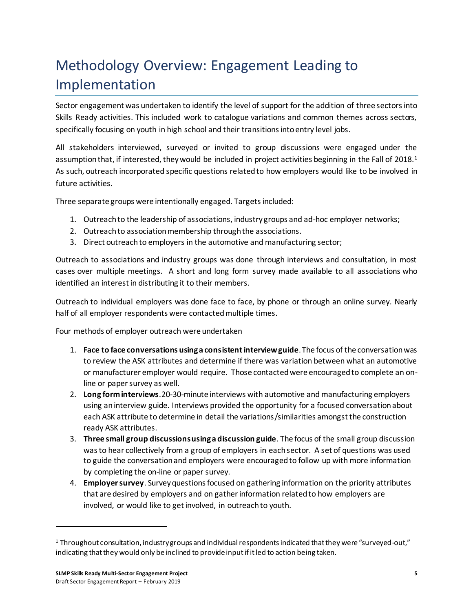# <span id="page-8-0"></span>Methodology Overview: Engagement Leading to Implementation

Sector engagement was undertaken to identify the level of support for the addition of three sectors into Skills Ready activities. This included work to catalogue variations and common themes across sectors, specifically focusing on youth in high school and their transitions into entry level jobs.

All stakeholders interviewed, surveyed or invited to group discussions were engaged under the assumption that, if interested, they would be included in project activities beginning in the Fall of 2018.<sup>1</sup> As such, outreach incorporated specific questions related to how employers would like to be involved in future activities.

Three separate groups were intentionally engaged. Targets included:

- 1. Outreach to the leadership of associations, industry groups and ad-hoc employer networks;
- 2. Outreach to association membership through the associations.
- 3. Direct outreach to employers in the automotive and manufacturing sector;

Outreach to associations and industry groups was done through interviews and consultation, in most cases over multiple meetings. A short and long form survey made available to all associations who identified an interest in distributing it to their members.

Outreach to individual employers was done face to face, by phone or through an online survey. Nearly half of all employer respondents were contacted multiple times.

Four methods of employer outreach were undertaken

- 1. **Face to face conversations using a consistent interview guide**. The focus of the conversation was to review the ASK attributes and determine if there was variation between what an automotive or manufacturer employer would require. Those contacted were encouraged to complete an online or paper survey as well.
- 2. **Long form interviews**.20-30-minute interviews with automotive and manufacturing employers using an interview guide. Interviews provided the opportunity for a focused conversation about each ASK attribute to determine in detail the variations/similarities amongst the construction ready ASK attributes.
- 3. **Three small group discussions using a discussion guide**. The focus of the small group discussion was to hear collectively from a group of employers in each sector. A set of questions was used to guide the conversation and employers were encouraged to follow up with more information by completing the on-line or paper survey.
- 4. **Employer survey**. Survey questions focused on gathering information on the priority attributes that are desired by employers and on gather information related to how employers are involved, or would like to get involved, in outreach to youth.

<sup>1</sup> Throughout consultation, industry groups and individual respondents indicated that they were "surveyed-out," indicating that they would only be inclined to provide input if it led to action being taken.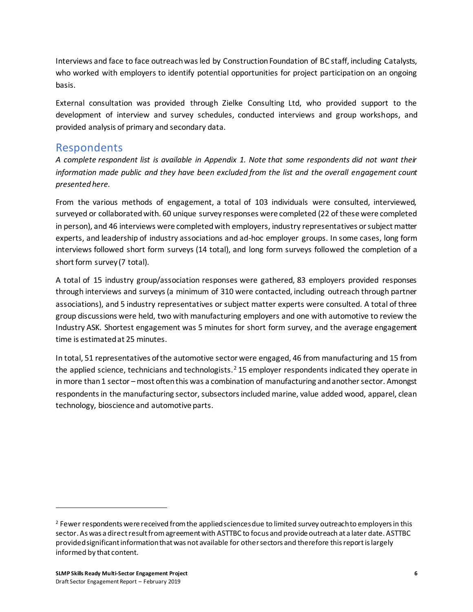Interviews and face to face outreach was led by Construction Foundation of BC staff, including Catalysts, who worked with employers to identify potential opportunities for project participation on an ongoing basis.

External consultation was provided through Zielke Consulting Ltd, who provided support to the development of interview and survey schedules, conducted interviews and group workshops, and provided analysis of primary and secondary data.

#### <span id="page-9-0"></span>Respondents

*A complete respondent list is available in Appendix 1. Note that some respondents did not want their information made public and they have been excluded from the list and the overall engagement count presented here.*

From the various methods of engagement, a total of 103 individuals were consulted, interviewed, surveyed or collaborated with. 60 unique survey responses were completed (22 of these were completed in person), and 46 interviews were completed with employers, industry representatives or subject matter experts, and leadership of industry associations and ad-hoc employer groups. In some cases, long form interviews followed short form surveys (14 total), and long form surveys followed the completion of a short form survey (7 total).

A total of 15 industry group/association responses were gathered, 83 employers provided responses through interviews and surveys (a minimum of 310 were contacted, including outreach through partner associations), and 5 industry representatives or subject matter experts were consulted. A total of three group discussions were held, two with manufacturing employers and one with automotive to review the Industry ASK. Shortest engagement was 5 minutes for short form survey, and the average engagement time is estimated at 25 minutes.

In total, 51 representatives of the automotive sector were engaged, 46 from manufacturing and 15 from the applied science, technicians and technologists.<sup>2</sup> 15 employer respondents indicated they operate in in more than 1 sector –most often this was a combination of manufacturing and another sector. Amongst respondents in the manufacturing sector, subsectors included marine, value added wood, apparel, clean technology, bioscience and automotive parts.

<sup>&</sup>lt;sup>2</sup> Fewer respondents were received from the applied sciences due to limited survey outreach to employers in this sector. As was a direct result from agreement with ASTTBC to focus and provide outreach at a later date. ASTTBC provided significant information that was not available for other sectors and therefore this report is largely informed by that content.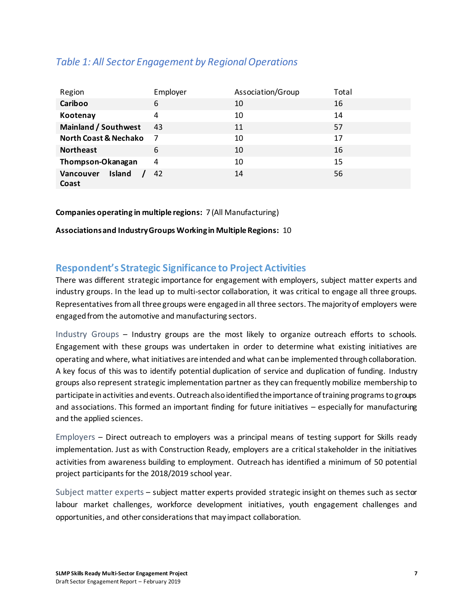| Region                           | Employer | Association/Group | Total |
|----------------------------------|----------|-------------------|-------|
| Cariboo                          | 6        | 10                | 16    |
| Kootenay                         | 4        | 10                | 14    |
| <b>Mainland / Southwest</b>      | 43       | 11                | 57    |
| <b>North Coast &amp; Nechako</b> | - 7      | 10                | 17    |
| <b>Northeast</b>                 | 6        | 10                | 16    |
| Thompson-Okanagan                | 4        | 10                | 15    |
| Vancouver<br>Island<br>Coast     | 42       | 14                | 56    |

#### *Table 1: All Sector Engagement by Regional Operations*

**Companies operating in multiple regions:** 7 (All Manufacturing)

**Associations and Industry Groups Working in Multiple Regions:** 10

#### **Respondent's Strategic Significance to Project Activities**

There was different strategic importance for engagement with employers, subject matter experts and industry groups. In the lead up to multi-sector collaboration, it was critical to engage all three groups. Representatives from all three groups were engaged in all three sectors. The majority of employers were engaged from the automotive and manufacturing sectors.

Industry Groups – Industry groups are the most likely to organize outreach efforts to schools. Engagement with these groups was undertaken in order to determine what existing initiatives are operating and where, what initiatives are intended and what can be implemented through collaboration. A key focus of this was to identify potential duplication of service and duplication of funding. Industry groups also represent strategic implementation partner as they can frequently mobilize membership to participate in activities and events. Outreach also identified the importance of training programs to groups and associations. This formed an important finding for future initiatives – especially for manufacturing and the applied sciences.

Employers – Direct outreach to employers was a principal means of testing support for Skills ready implementation. Just as with Construction Ready, employers are a critical stakeholder in the initiatives activities from awareness building to employment. Outreach has identified a minimum of 50 potential project participants for the 2018/2019 school year.

Subject matter experts – subject matter experts provided strategic insight on themes such as sector labour market challenges, workforce development initiatives, youth engagement challenges and opportunities, and other considerations that may impact collaboration.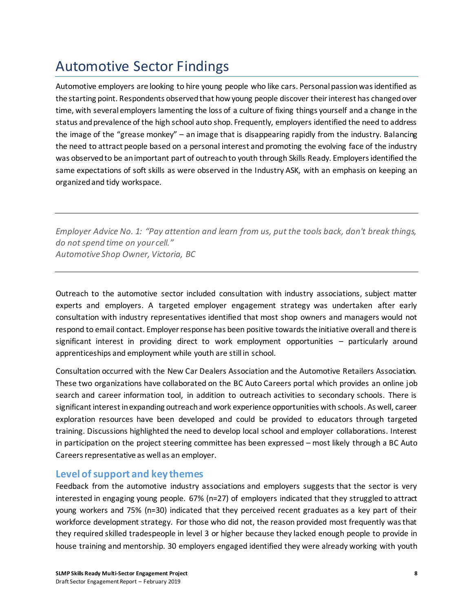### <span id="page-11-0"></span>Automotive Sector Findings

Automotive employers are looking to hire young people who like cars. Personal passion was identified as the starting point. Respondents observed that how young people discover their interest has changed over time, with several employers lamenting the loss of a culture of fixing things yourself and a change in the status and prevalence of the high school auto shop. Frequently, employers identified the need to address the image of the "grease monkey" – an image that is disappearing rapidly from the industry. Balancing the need to attract people based on a personal interest and promoting the evolving face of the industry was observed to be an important part of outreach to youth through Skills Ready. Employers identified the same expectations of soft skills as were observed in the Industry ASK, with an emphasis on keeping an organized and tidy workspace.

*Employer Advice No. 1: "Pay attention and learn from us, put the tools back, don't break things, do not spend time on your cell." Automotive Shop Owner, Victoria, BC*

Outreach to the automotive sector included consultation with industry associations, subject matter experts and employers. A targeted employer engagement strategy was undertaken after early consultation with industry representatives identified that most shop owners and managers would not respond to email contact. Employer response has been positive towards the initiative overall and there is significant interest in providing direct to work employment opportunities – particularly around apprenticeships and employment while youth are still in school.

Consultation occurred with the New Car Dealers Association and the Automotive Retailers Association. These two organizations have collaborated on the BC Auto Careers portal which provides an online job search and career information tool, in addition to outreach activities to secondary schools. There is significant interest in expanding outreach and work experience opportunities with schools. As well, career exploration resources have been developed and could be provided to educators through targeted training. Discussions highlighted the need to develop local school and employer collaborations. Interest in participation on the project steering committee has been expressed – most likely through a BC Auto Careers representative as well as an employer.

#### **Level of support and key themes**

Feedback from the automotive industry associations and employers suggests that the sector is very interested in engaging young people. 67% (n=27) of employers indicated that they struggled to attract young workers and 75% (n=30) indicated that they perceived recent graduates as a key part of their workforce development strategy. For those who did not, the reason provided most frequently was that they required skilled tradespeople in level 3 or higher because they lacked enough people to provide in house training and mentorship. 30 employers engaged identified they were already working with youth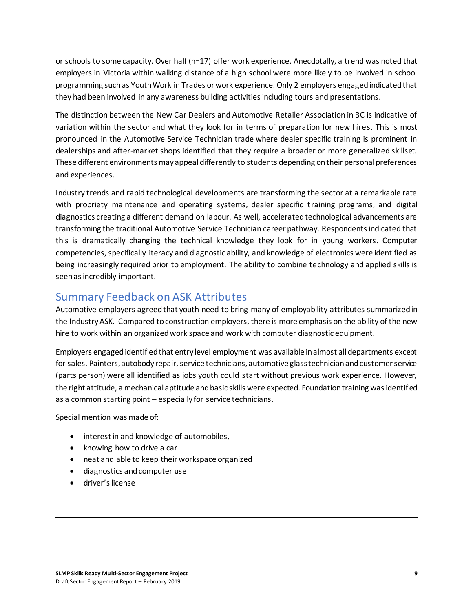or schools to some capacity. Over half (n=17) offer work experience. Anecdotally, a trend was noted that employers in Victoria within walking distance of a high school were more likely to be involved in school programming such as Youth Work in Trades or work experience. Only 2 employers engaged indicated that they had been involved in any awareness building activities including tours and presentations.

The distinction between the New Car Dealers and Automotive Retailer Association in BC is indicative of variation within the sector and what they look for in terms of preparation for new hires. This is most pronounced in the Automotive Service Technician trade where dealer specific training is prominent in dealerships and after-market shops identified that they require a broader or more generalized skillset. These different environments may appeal differently to students depending on their personal preferences and experiences.

Industry trends and rapid technological developments are transforming the sector at a remarkable rate with propriety maintenance and operating systems, dealer specific training programs, and digital diagnostics creating a different demand on labour. As well, accelerated technological advancements are transforming the traditional Automotive Service Technician career pathway. Respondents indicated that this is dramatically changing the technical knowledge they look for in young workers. Computer competencies, specifically literacy and diagnostic ability, and knowledge of electronics were identified as being increasingly required prior to employment. The ability to combine technology and applied skills is seen as incredibly important.

### <span id="page-12-0"></span>Summary Feedback on ASK Attributes

Automotive employers agreed that youth need to bring many of employability attributes summarized in the Industry ASK. Compared to construction employers, there is more emphasis on the ability of the new hire to work within an organized work space and work with computer diagnostic equipment.

Employers engaged identified that entry level employment was available in almost all departments except for sales. Painters, autobody repair, service technicians, automotive glass technician and customer service (parts person) were all identified as jobs youth could start without previous work experience. However, the right attitude, a mechanical aptitude and basic skills were expected. Foundation training was identified as a common starting point – especially for service technicians.

Special mention was made of:

- interest in and knowledge of automobiles,
- knowing how to drive a car
- neat and able to keep their workspace organized
- diagnostics and computer use
- driver's license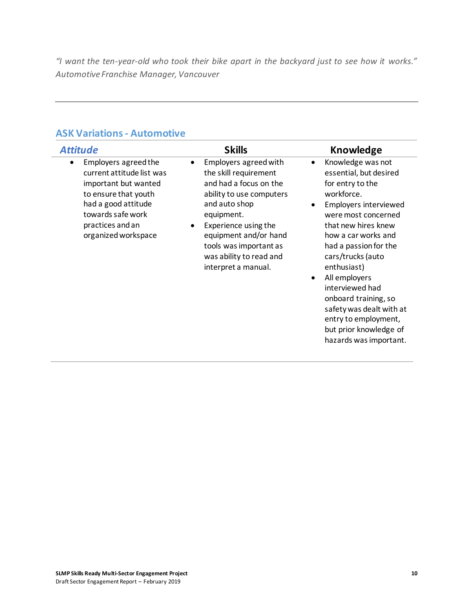*"I want the ten-year-old who took their bike apart in the backyard just to see how it works." Automotive Franchise Manager, Vancouver*

#### **ASK Variations - Automotive**

| <b>Attitude</b>                                                                                                                                                                                       | <b>Skills</b>                                                                                                                                                                                                                                                                              | Knowledge                                                                                                                                                                                                                                                                                                                                                                                                                                     |
|-------------------------------------------------------------------------------------------------------------------------------------------------------------------------------------------------------|--------------------------------------------------------------------------------------------------------------------------------------------------------------------------------------------------------------------------------------------------------------------------------------------|-----------------------------------------------------------------------------------------------------------------------------------------------------------------------------------------------------------------------------------------------------------------------------------------------------------------------------------------------------------------------------------------------------------------------------------------------|
| Employers agreed the<br>$\bullet$<br>current attitude list was<br>important but wanted<br>to ensure that youth<br>had a good attitude<br>towards safe work<br>practices and an<br>organized workspace | Employers agreed with<br>$\bullet$<br>the skill requirement<br>and had a focus on the<br>ability to use computers<br>and auto shop<br>equipment.<br>Experience using the<br>$\bullet$<br>equipment and/or hand<br>tools was important as<br>was ability to read and<br>interpret a manual. | Knowledge was not<br>$\bullet$<br>essential, but desired<br>for entry to the<br>workforce.<br><b>Employers interviewed</b><br>were most concerned<br>that new hires knew<br>how a car works and<br>had a passion for the<br>cars/trucks (auto<br>enthusiast)<br>All employers<br>$\bullet$<br>interviewed had<br>onboard training, so<br>safety was dealt with at<br>entry to employment,<br>but prior knowledge of<br>hazards was important. |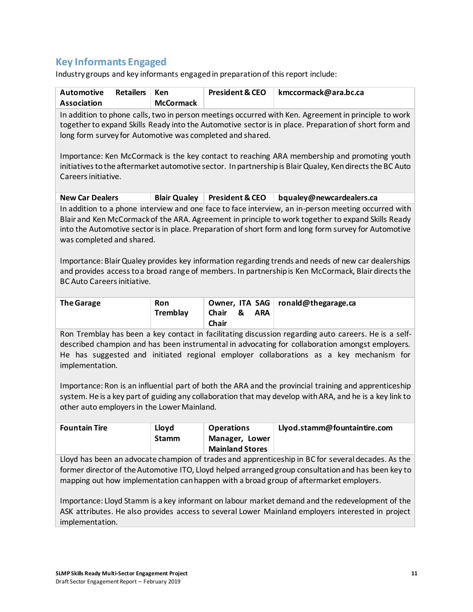#### **Key Informants Engaged**

Industry groups and key informants engaged in preparation of this report include:

| <b>Automotive</b><br><b>Retailers</b><br><b>Association</b>                                                                                                                                                                                                                                                                                     | Ken<br><b>McCormack</b> | <b>President &amp; CEO</b> | kmccormack@ara.bc.ca     |  |  |  |  |
|-------------------------------------------------------------------------------------------------------------------------------------------------------------------------------------------------------------------------------------------------------------------------------------------------------------------------------------------------|-------------------------|----------------------------|--------------------------|--|--|--|--|
| In addition to phone calls, two in person meetings occurred with Ken. Agreement in principle to work<br>together to expand Skills Ready into the Automotive sector is in place. Preparation of short form and<br>long form survey for Automotive was completed and shared.                                                                      |                         |                            |                          |  |  |  |  |
| Importance: Ken McCormack is the key contact to reaching ARA membership and promoting youth<br>initiatives to the aftermarket automotive sector. In partnership is Blair Qualey, Ken directs the BC Auto<br>Careers initiative.                                                                                                                 |                         |                            |                          |  |  |  |  |
| <b>New Car Dealers</b>                                                                                                                                                                                                                                                                                                                          | <b>Blair Qualey</b>     | <b>President &amp; CEO</b> | bqualey@newcardealers.ca |  |  |  |  |
| In addition to a phone interview and one face to face interview, an in-person meeting occurred with<br>Blair and Ken McCormack of the ARA. Agreement in principle to work together to expand Skills Ready<br>into the Automotive sector is in place. Preparation of short form and long form survey for Automotive<br>was completed and shared. |                         |                            |                          |  |  |  |  |
| Importance: Blair Qualey provides key information regarding trends and needs of new car dealerships<br>and provides access to a broad range of members. In partnership is Ken McCormack, Blair directs the<br>BC Auto Careers initiative.                                                                                                       |                         |                            |                          |  |  |  |  |
|                                                                                                                                                                                                                                                                                                                                                 |                         | $T^{\prime}$ $\sim$ $\sim$ | الدهابات                 |  |  |  |  |

| The Garage | <b>Ron</b><br>Tremblay | Chair | & | <b>ARA</b> | Owner, ITA SAG   ronald@thegarage.ca |
|------------|------------------------|-------|---|------------|--------------------------------------|
|            |                        | Chair |   |            |                                      |

Ron Tremblay has been a key contact in facilitating discussion regarding auto careers. He is a selfdescribed champion and has been instrumental in advocating for collaboration amongst employers. He has suggested and initiated regional employer collaborations as a key mechanism for implementation.

Importance: Ron is an influential part of both the ARA and the provincial training and apprenticeship system. He is a key part of guiding any collaboration that may develop with ARA, and he is a key link to other auto employers in the Lower Mainland.

| <b>Fountain Tire</b> | Llovd<br><b>Stamm</b> | <b>Operations</b><br>Manager, Lower<br><b>Mainland Stores</b> | Llyod.stamm@fountaintire.com |
|----------------------|-----------------------|---------------------------------------------------------------|------------------------------|
|----------------------|-----------------------|---------------------------------------------------------------|------------------------------|

Lloyd has been an advocate champion of trades and apprenticeship in BC for several decades. As the former director of the Automotive ITO, Lloyd helped arranged group consultation and has been key to mapping out how implementation can happen with a broad group of aftermarket employers.

Importance: Lloyd Stamm is a key informant on labour market demand and the redevelopment of the ASK attributes. He also provides access to several Lower Mainland employers interested in project implementation.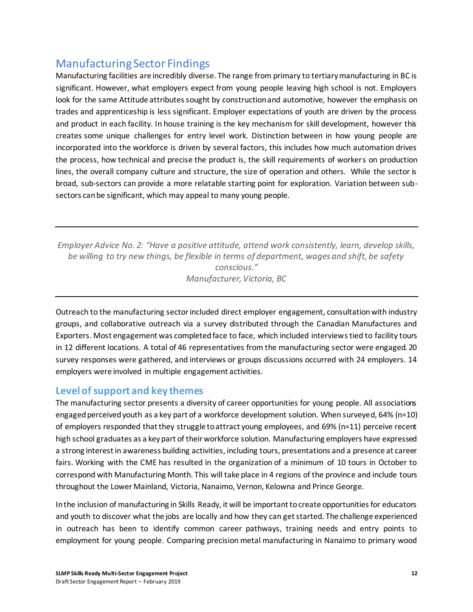### <span id="page-15-0"></span>Manufacturing Sector Findings

Manufacturing facilities are incredibly diverse. The range from primary to tertiary manufacturing in BC is significant. However, what employers expect from young people leaving high school is not. Employers look for the same Attitude attributes sought by construction and automotive, however the emphasis on trades and apprenticeship is less significant. Employer expectations of youth are driven by the process and product in each facility. In house training is the key mechanism for skill development, however this creates some unique challenges for entry level work. Distinction between in how young people are incorporated into the workforce is driven by several factors, this includes how much automation drives the process, how technical and precise the product is, the skill requirements of workers on production lines, the overall company culture and structure, the size of operation and others. While the sector is broad, sub-sectors can provide a more relatable starting point for exploration. Variation between subsectors can be significant, which may appeal to many young people.

*Employer Advice No. 2: "Have a positive attitude, attend work consistently, learn, develop skills, be willing to try new things, be flexible in terms of department, wages and shift, be safety conscious." Manufacturer, Victoria, BC*

Outreach to the manufacturing sector included direct employer engagement, consultation with industry groups, and collaborative outreach via a survey distributed through the Canadian Manufactures and Exporters. Most engagement was completed face to face, which included interviews tied to facility tours in 12 different locations. A total of 46 representatives from the manufacturing sector were engaged. 20 survey responses were gathered, and interviews or groups discussions occurred with 24 employers. 14 employers were involved in multiple engagement activities.

#### **Level of support and key themes**

The manufacturing sector presents a diversity of career opportunities for young people. All associations engaged perceived youth as a key part of a workforce development solution. When surveyed, 64% (n=10) of employers responded that they struggle to attract young employees, and 69% (n=11) perceive recent high school graduates as a key part of their workforce solution. Manufacturing employers have expressed a strong interest in awareness building activities, including tours, presentations and a presence at career fairs. Working with the CME has resulted in the organization of a minimum of 10 tours in October to correspond with Manufacturing Month. This will take place in 4 regions of the province and include tours throughout the Lower Mainland, Victoria, Nanaimo, Vernon, Kelowna and Prince George.

In the inclusion of manufacturing in Skills Ready, it will be important to create opportunities for educators and youth to discover what the jobs are locally and how they can get started. The challenge experienced in outreach has been to identify common career pathways, training needs and entry points to employment for young people. Comparing precision metal manufacturing in Nanaimo to primary wood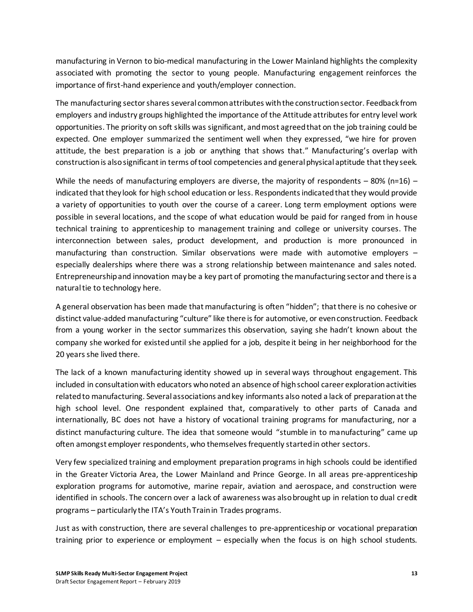manufacturing in Vernon to bio-medical manufacturing in the Lower Mainland highlights the complexity associated with promoting the sector to young people. Manufacturing engagement reinforces the importance of first-hand experience and youth/employer connection.

The manufacturing sector shares several common attributes with the construction sector. Feedback from employers and industry groups highlighted the importance of the Attitude attributes for entry level work opportunities. The priority on soft skills was significant, and most agreed that on the job training could be expected. One employer summarized the sentiment well when they expressed, "we hire for proven attitude, the best preparation is a job or anything that shows that." Manufacturing's overlap with construction is also significant in terms of tool competencies and general physical aptitude that they seek.

While the needs of manufacturing employers are diverse, the majority of respondents  $-80\%$  (n=16) – indicated that they look for high school education or less. Respondents indicated that they would provide a variety of opportunities to youth over the course of a career. Long term employment options were possible in several locations, and the scope of what education would be paid for ranged from in house technical training to apprenticeship to management training and college or university courses. The interconnection between sales, product development, and production is more pronounced in manufacturing than construction. Similar observations were made with automotive employers – especially dealerships where there was a strong relationship between maintenance and sales noted. Entrepreneurship and innovation may be a key part of promoting the manufacturing sector and there is a natural tie to technology here.

A general observation has been made that manufacturing is often "hidden"; that there is no cohesive or distinct value-added manufacturing "culture" like there is for automotive, or even construction. Feedback from a young worker in the sector summarizes this observation, saying she hadn't known about the company she worked for existed until she applied for a job, despite it being in her neighborhood for the 20 years she lived there.

The lack of a known manufacturing identity showed up in several ways throughout engagement. This included in consultation with educators who noted an absence of high school career exploration activities related to manufacturing. Several associations and key informants also noted a lack of preparation at the high school level. One respondent explained that, comparatively to other parts of Canada and internationally, BC does not have a history of vocational training programs for manufacturing, nor a distinct manufacturing culture. The idea that someone would "stumble in to manufacturing" came up often amongst employer respondents, who themselves frequently started in other sectors.

Very few specialized training and employment preparation programs in high schools could be identified in the Greater Victoria Area, the Lower Mainland and Prince George. In all areas pre-apprenticeship exploration programs for automotive, marine repair, aviation and aerospace, and construction were identified in schools. The concern over a lack of awareness was also brought up in relation to dual credit programs – particularly the ITA's Youth Train in Trades programs.

Just as with construction, there are several challenges to pre-apprenticeship or vocational preparation training prior to experience or employment – especially when the focus is on high school students.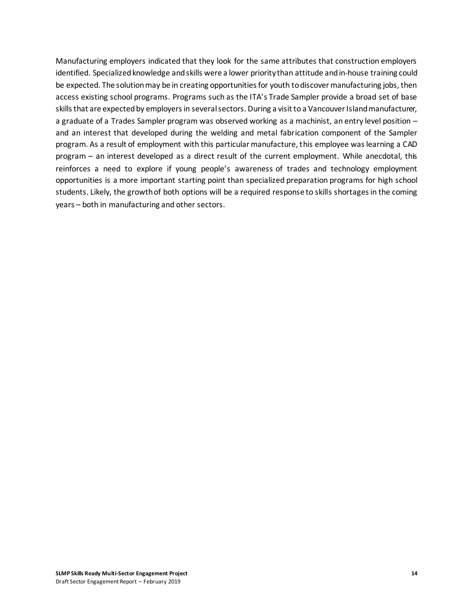Manufacturing employers indicated that they look for the same attributes that construction employers identified. Specialized knowledge and skills were a lower priority than attitude and in-house training could be expected. The solution may be in creating opportunities for youth to discover manufacturing jobs, then access existing school programs. Programs such as the ITA's Trade Sampler provide a broad set of base skills that are expected by employers in several sectors. During a visit to a Vancouver Island manufacturer, a graduate of a Trades Sampler program was observed working as a machinist, an entry level position – and an interest that developed during the welding and metal fabrication component of the Sampler program. As a result of employment with this particular manufacture, this employee was learning a CAD program – an interest developed as a direct result of the current employment. While anecdotal, this reinforces a need to explore if young people's awareness of trades and technology employment opportunities is a more important starting point than specialized preparation programs for high school students. Likely, the growth of both options will be a required response to skills shortages in the coming years – both in manufacturing and other sectors.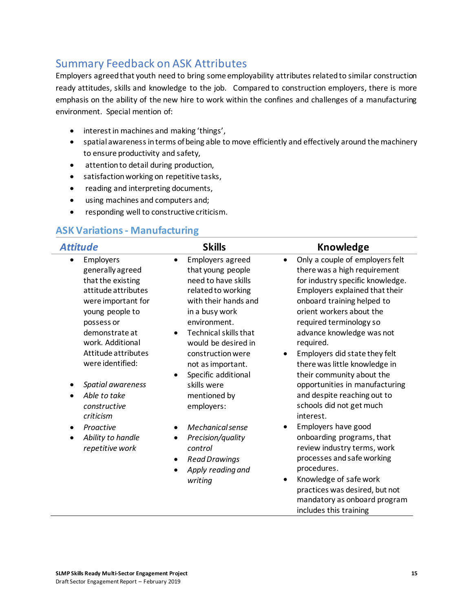### <span id="page-18-0"></span>Summary Feedback on ASK Attributes

Employers agreed that youth need to bring some employability attributes related to similar construction ready attitudes, skills and knowledge to the job. Compared to construction employers, there is more emphasis on the ability of the new hire to work within the confines and challenges of a manufacturing environment. Special mention of:

- interest in machines and making 'things',
- spatial awareness in terms of being able to move efficiently and effectively around the machinery to ensure productivity and safety,
- attention to detail during production,
- satisfaction working on repetitive tasks,
- reading and interpreting documents,
- using machines and computers and;
- responding well to constructive criticism.

#### **ASK Variations - Manufacturing**

| Attitude                                                                                                                                                                            | <b>Skills</b>                                                                                                                                                                                                    | <b>Knowledge</b>                                                                                                                                                                                                                                                                  |
|-------------------------------------------------------------------------------------------------------------------------------------------------------------------------------------|------------------------------------------------------------------------------------------------------------------------------------------------------------------------------------------------------------------|-----------------------------------------------------------------------------------------------------------------------------------------------------------------------------------------------------------------------------------------------------------------------------------|
| Employers<br>$\bullet$<br>generally agreed<br>that the existing<br>attitude attributes<br>were important for<br>young people to<br>possess or<br>demonstrate at<br>work. Additional | Employers agreed<br>$\bullet$<br>that young people<br>need to have skills<br>related to working<br>with their hands and<br>in a busy work<br>environment.<br><b>Technical skills that</b><br>would be desired in | Only a couple of employers felt<br>$\bullet$<br>there was a high requirement<br>for industry specific knowledge.<br>Employers explained that their<br>onboard training helped to<br>orient workers about the<br>required terminology so<br>advance knowledge was not<br>required. |
| Attitude attributes<br>were identified:<br>Spatial awareness<br>Able to take<br>constructive<br>criticism                                                                           | construction were<br>not as important.<br>Specific additional<br>$\bullet$<br>skills were<br>mentioned by<br>employers:                                                                                          | Employers did state they felt<br>$\bullet$<br>there was little knowledge in<br>their community about the<br>opportunities in manufacturing<br>and despite reaching out to<br>schools did not get much<br>interest.                                                                |
| Proactive<br>Ability to handle<br>$\bullet$<br>repetitive work                                                                                                                      | Mechanical sense<br>Precision/quality<br>$\bullet$<br>control<br><b>Read Drawings</b><br>$\bullet$<br>Apply reading and<br>writing                                                                               | Employers have good<br>٠<br>onboarding programs, that<br>review industry terms, work<br>processes and safe working<br>procedures.<br>Knowledge of safe work<br>$\bullet$<br>practices was desired, but not<br>mandatory as onboard program<br>includes this training              |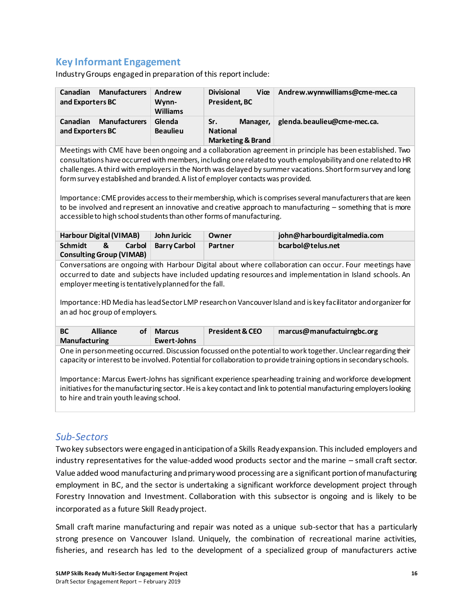#### **Key Informant Engagement**

Industry Groups engaged in preparation of this report include:

| <b>Manufacturers</b>                                        | Andrew                    | <b>Divisional</b>                                                  | Andrew.wynnwilliams@cme-mec.ca |
|-------------------------------------------------------------|---------------------------|--------------------------------------------------------------------|--------------------------------|
| Canadian                                                    | Wynn-                     | Viœ                                                                |                                |
| and Exporters BC                                            | <b>Williams</b>           | President, BC                                                      |                                |
| <b>Manufacturers</b><br><b>Canadian</b><br>and Exporters BC | Glenda<br><b>Beaulieu</b> | Sr.<br>Manager,<br><b>National</b><br><b>Marketing &amp; Brand</b> | glenda.beaulieu@cme-mec.ca.    |

Meetings with CME have been ongoing and a collaboration agreement in principle has been established. Two consultations have occurred with members, including one related to youth employability and one related to HR challenges. A third with employers in the North was delayed by summer vacations. Short form survey and long form survey established and branded. A list of employer contacts was provided.

Importance: CME provides access to their membership, which is comprises several manufacturers that are keen to be involved and represent an innovative and creative approach to manufacturing – something that is more accessible to high school students than other forms of manufacturing.

| Harbour Digital (VIMAB)         |        | John Juricic | Owner   | iohn@harbourdigitalmedia.com |
|---------------------------------|--------|--------------|---------|------------------------------|
| Schmidt<br>&                    | Carbol | Barry Carbol | Partner | bcarbol@telus.net            |
| <b>Consulting Group (VIMAB)</b> |        |              |         |                              |

Conversations are ongoing with Harbour Digital about where collaboration can occur. Four meetings have occurred to date and subjects have included updating resources and implementation in Island schools. An employer meeting is tentatively planned for the fall.

Importance: HD Media has lead Sector LMP research on Vancouver Island and is key facilitator and organizer for an ad hoc group of employers.

| <b>BC</b>            | <b>Alliance</b> | <b>of</b> | <b>Marcus</b> | <b>President &amp; CEO</b> | marcus@manufactuirngbc.org |
|----------------------|-----------------|-----------|---------------|----------------------------|----------------------------|
| <b>Manufacturing</b> |                 |           | Ewert-Johns   |                            |                            |

One in person meeting occurred. Discussion focussed on the potential to work together. Unclear regarding their capacity or interest to be involved. Potential for collaboration to provide training options in secondary schools.

Importance: Marcus Ewert-Johns has significant experience spearheading training and workforce development initiatives for the manufacturing sector. He is a key contact and link to potential manufacturing employers looking to hire and train youth leaving school.

#### *Sub-Sectors*

Two key subsectors were engaged in anticipation of a Skills Ready expansion. This included employers and industry representatives for the value-added wood products sector and the marine – small craft sector. Value added wood manufacturing and primary wood processing are a significant portion of manufacturing employment in BC, and the sector is undertaking a significant workforce development project through Forestry Innovation and Investment. Collaboration with this subsector is ongoing and is likely to be incorporated as a future Skill Ready project.

Small craft marine manufacturing and repair was noted as a unique sub-sector that has a particularly strong presence on Vancouver Island. Uniquely, the combination of recreational marine activities, fisheries, and research has led to the development of a specialized group of manufacturers active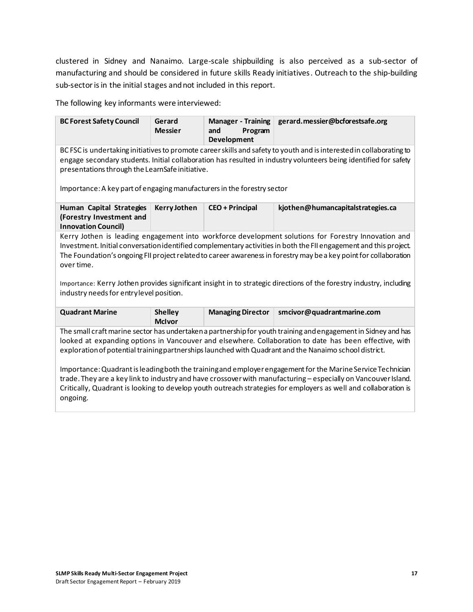clustered in Sidney and Nanaimo. Large-scale shipbuilding is also perceived as a sub-sector of manufacturing and should be considered in future skills Ready initiatives. Outreach to the ship-building sub-sector is in the initial stages and not included in this report.

The following key informants were interviewed:

| <b>BC Forest Safety Council</b>                                                                                                                                                                                                                                                             | Gerard<br><b>Messier</b> | Manager - Training<br>Program<br>and<br><b>Development</b> | gerard.messier@bcforestsafe.org |  |  |  |
|---------------------------------------------------------------------------------------------------------------------------------------------------------------------------------------------------------------------------------------------------------------------------------------------|--------------------------|------------------------------------------------------------|---------------------------------|--|--|--|
| BC FSC is undertaking initiatives to promote career skills and safety to youth and is interested in collaborating to<br>engage secondary students. Initial collaboration has resulted in industry volunteers being identified for safety<br>presentations through the LearnSafe initiative. |                          |                                                            |                                 |  |  |  |
| Importance: A key part of engaging manufacturers in the forestry sector                                                                                                                                                                                                                     |                          |                                                            |                                 |  |  |  |

| Human Capital Strategies   | Kerry Jothen | <b>CEO</b> + Principal | kjothen@humancapitalstrategies.ca |
|----------------------------|--------------|------------------------|-----------------------------------|
| (Forestry Investment and   |              |                        |                                   |
| <b>Innovation Council)</b> |              |                        |                                   |

Kerry Jothen is leading engagement into workforce development solutions for Forestry Innovation and Investment. Initial conversation identified complementary activities in both the FII engagement and this project. The Foundation's ongoing FII project related to career awareness in forestry may be a key point for collaboration over time.

Importance: Kerry Jothen provides significant insight in to strategic directions of the forestry industry, including industry needs for entry level position.

| <b>Quadrant Marine</b> | <b>Shelley</b> | <b>Managing Director</b> | smcivor@quadrantmarine.com |
|------------------------|----------------|--------------------------|----------------------------|
|                        | <b>McIvor</b>  |                          |                            |

The small craft marine sector has undertaken a partnership for youth training and engagement in Sidney and has looked at expanding options in Vancouver and elsewhere. Collaboration to date has been effective, with exploration of potential training partnerships launched with Quadrant and the Nanaimo school district.

Importance: Quadrant is leading both the training and employer engagement for the Marine Service Technician trade. They are a key link to industry and have crossover with manufacturing – especially on Vancouver Island. Critically, Quadrant is looking to develop youth outreach strategies for employers as well and collaboration is ongoing.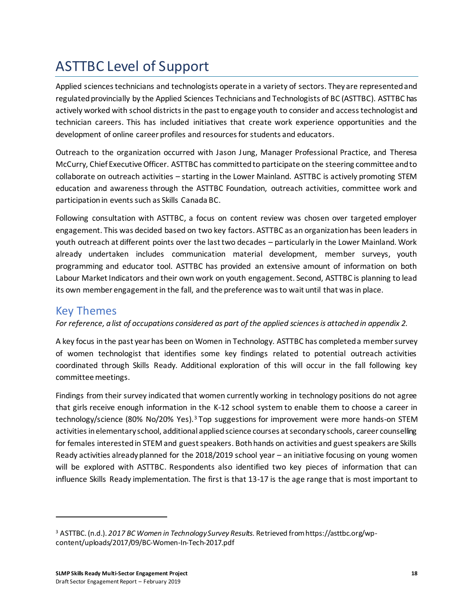# <span id="page-21-0"></span>ASTTBC Level of Support

Applied sciences technicians and technologists operate in a variety of sectors. They are represented and regulated provincially by the Applied Sciences Technicians and Technologists of BC (ASTTBC). ASTTBC has actively worked with school districts in the past to engage youth to consider and access technologist and technician careers. This has included initiatives that create work experience opportunities and the development of online career profiles and resources for students and educators.

Outreach to the organization occurred with Jason Jung, Manager Professional Practice, and Theresa McCurry, Chief Executive Officer. ASTTBC has committed to participate on the steering committee and to collaborate on outreach activities – starting in the Lower Mainland. ASTTBC is actively promoting STEM education and awareness through the ASTTBC Foundation, outreach activities, committee work and participation in events such as Skills Canada BC.

Following consultation with ASTTBC, a focus on content review was chosen over targeted employer engagement. This was decided based on two key factors. ASTTBC as an organization has been leaders in youth outreach at different points over the last two decades – particularly in the Lower Mainland. Work already undertaken includes communication material development, member surveys, youth programming and educator tool. ASTTBC has provided an extensive amount of information on both Labour Market Indicators and their own work on youth engagement. Second, ASTTBC is planning to lead its own member engagement in the fall, and the preference was to wait until that was in place.

#### <span id="page-21-1"></span>Key Themes

#### *For reference, a list of occupations considered as part of the applied sciences is attached in appendix 2.*

A key focus in the past year has been on Women in Technology. ASTTBC has completed a member survey of women technologist that identifies some key findings related to potential outreach activities coordinated through Skills Ready. Additional exploration of this will occur in the fall following key committee meetings.

Findings from their survey indicated that women currently working in technology positions do not agree that girls receive enough information in the K-12 school system to enable them to choose a career in technology/science (80% No/20% Yes).<sup>3</sup> Top suggestions for improvement were more hands-on STEM activities in elementary school, additional applied science courses at secondary schools, career counselling for females interested in STEM and guest speakers. Both hands on activities and guest speakers are Skills Ready activities already planned for the 2018/2019 school year – an initiative focusing on young women will be explored with ASTTBC. Respondents also identified two key pieces of information that can influence Skills Ready implementation. The first is that 13-17 is the age range that is most important to

<sup>3</sup> ASTTBC. (n.d.). *2017 BC Women in Technology Survey Results.* Retrieved from https://asttbc.org/wpcontent/uploads/2017/09/BC-Women-In-Tech-2017.pdf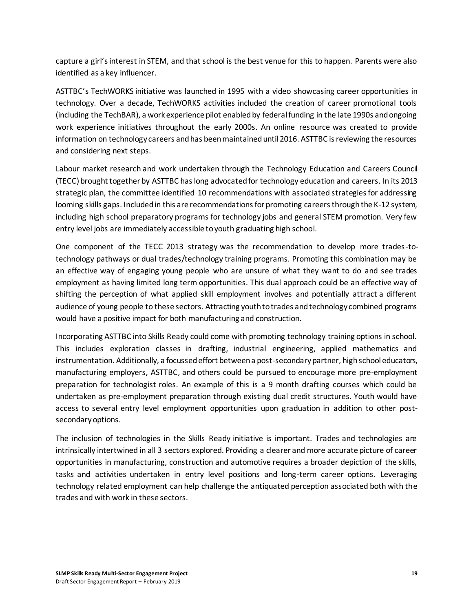capture a girl's interest in STEM, and that school is the best venue for this to happen. Parents were also identified as a key influencer.

ASTTBC's TechWORKS initiative was launched in 1995 with a video showcasing career opportunities in technology. Over a decade, TechWORKS activities included the creation of career promotional tools (including the TechBAR), a work experience pilot enabled by federal funding in the late 1990s and ongoing work experience initiatives throughout the early 2000s. An online resource was created to provide information on technology careers and has been maintained until 2016. ASTTBC is reviewing the resources and considering next steps.

Labour market research and work undertaken through the Technology Education and Careers Council (TECC) brought together by ASTTBC has long advocated for technology education and careers. In its 2013 strategic plan, the committee identified 10 recommendations with associated strategies for addressing looming skills gaps. Included in this are recommendations for promoting careers through the K-12 system, including high school preparatory programs for technology jobs and general STEM promotion. Very few entry level jobs are immediately accessible to youth graduating high school.

One component of the TECC 2013 strategy was the recommendation to develop more trades-totechnology pathways or dual trades/technology training programs. Promoting this combination may be an effective way of engaging young people who are unsure of what they want to do and see trades employment as having limited long term opportunities. This dual approach could be an effective way of shifting the perception of what applied skill employment involves and potentially attract a different audience of young people to these sectors. Attracting youth to trades and technology combined programs would have a positive impact for both manufacturing and construction.

Incorporating ASTTBC into Skills Ready could come with promoting technology training options in school. This includes exploration classes in drafting, industrial engineering, applied mathematics and instrumentation. Additionally, a focussed effort between a post-secondary partner, high school educators, manufacturing employers, ASTTBC, and others could be pursued to encourage more pre-employment preparation for technologist roles. An example of this is a 9 month drafting courses which could be undertaken as pre-employment preparation through existing dual credit structures. Youth would have access to several entry level employment opportunities upon graduation in addition to other postsecondary options.

The inclusion of technologies in the Skills Ready initiative is important. Trades and technologies are intrinsically intertwined in all 3 sectors explored. Providing a clearer and more accurate picture of career opportunities in manufacturing, construction and automotive requires a broader depiction of the skills, tasks and activities undertaken in entry level positions and long-term career options. Leveraging technology related employment can help challenge the antiquated perception associated both with the trades and with work in these sectors.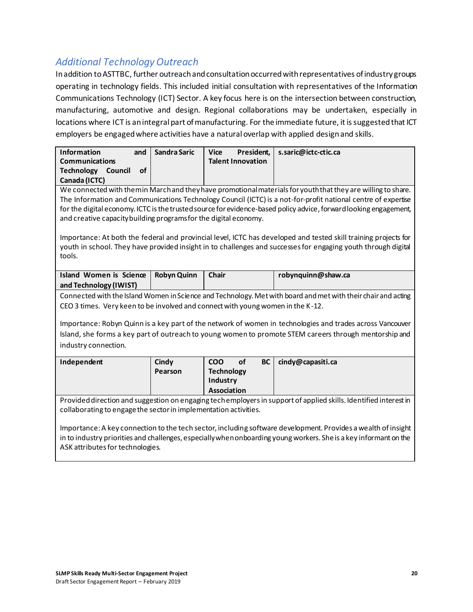#### *Additional Technology Outreach*

In addition to ASTTBC, further outreach and consultation occurred with representatives of industry groups operating in technology fields. This included initial consultation with representatives of the Information Communications Technology (ICT) Sector. A key focus here is on the intersection between construction, manufacturing, automotive and design. Regional collaborations may be undertaken, especially in locations where ICT is an integral part of manufacturing. For the immediate future, it is suggested that ICT employers be engaged where activities have a natural overlap with applied design and skills.

| <b>Information</b><br>and<br>Communications                                                                       | Sandra Saric       | <b>Vice</b><br>President.<br><b>Talent Innovation</b> | s.saric@ictc-ctic.ca                                                                                              |  |  |
|-------------------------------------------------------------------------------------------------------------------|--------------------|-------------------------------------------------------|-------------------------------------------------------------------------------------------------------------------|--|--|
| <b>Technology Council</b><br><b>of</b>                                                                            |                    |                                                       |                                                                                                                   |  |  |
| Canada (ICTC)                                                                                                     |                    |                                                       |                                                                                                                   |  |  |
|                                                                                                                   |                    |                                                       | We connected with themin March and they have promotional materials for youth that they are willing to share.      |  |  |
|                                                                                                                   |                    |                                                       | The Information and Communications Technology Council (ICTC) is a not-for-profit national centre of expertise     |  |  |
|                                                                                                                   |                    |                                                       | for the digital economy. ICTC is the trusted source for evidence-based policy advice, forward looking engagement, |  |  |
| and creative capacity building programs for the digital economy.                                                  |                    |                                                       |                                                                                                                   |  |  |
|                                                                                                                   |                    |                                                       |                                                                                                                   |  |  |
|                                                                                                                   |                    |                                                       | Importance: At both the federal and provincial level, ICTC has developed and tested skill training projects for   |  |  |
| tools.                                                                                                            |                    |                                                       | youth in school. They have provided insight in to challenges and successes for engaging youth through digital     |  |  |
|                                                                                                                   |                    |                                                       |                                                                                                                   |  |  |
| Island Women is Science                                                                                           | <b>Robyn Quinn</b> | <b>Chair</b>                                          | robynquinn@shaw.ca                                                                                                |  |  |
| and Technology (IWIST)                                                                                            |                    |                                                       |                                                                                                                   |  |  |
|                                                                                                                   |                    |                                                       | Connected with the Island Women in Science and Technology. Met with board and met with their chair and acting     |  |  |
| CEO 3 times. Very keen to be involved and connect with young women in the K-12.                                   |                    |                                                       |                                                                                                                   |  |  |
|                                                                                                                   |                    |                                                       |                                                                                                                   |  |  |
|                                                                                                                   |                    |                                                       | Importance: Robyn Quinn is a key part of the network of women in technologies and trades across Vancouver         |  |  |
|                                                                                                                   |                    |                                                       | Island, she forms a key part of outreach to young women to promote STEM careers through mentorship and            |  |  |
| industry connection.                                                                                              |                    |                                                       |                                                                                                                   |  |  |
| Independent                                                                                                       | Cindy              | <b>COO</b><br><b>of</b><br><b>BC</b>                  | cindy@capasiti.ca                                                                                                 |  |  |
|                                                                                                                   | Pearson            | <b>Technology</b>                                     |                                                                                                                   |  |  |
|                                                                                                                   |                    | Industry                                              |                                                                                                                   |  |  |
|                                                                                                                   |                    | <b>Association</b>                                    |                                                                                                                   |  |  |
| Provided direction and suggestion on engaging tech employers in support of applied skills. Identified interest in |                    |                                                       |                                                                                                                   |  |  |
| collaborating to engage the sector in implementation activities.                                                  |                    |                                                       |                                                                                                                   |  |  |
|                                                                                                                   |                    |                                                       |                                                                                                                   |  |  |

Importance: A key connection to the tech sector, including software development. Provides a wealth of insight in to industry priorities and challenges, especially when onboarding young workers. She is a key informant on the ASK attributes for technologies.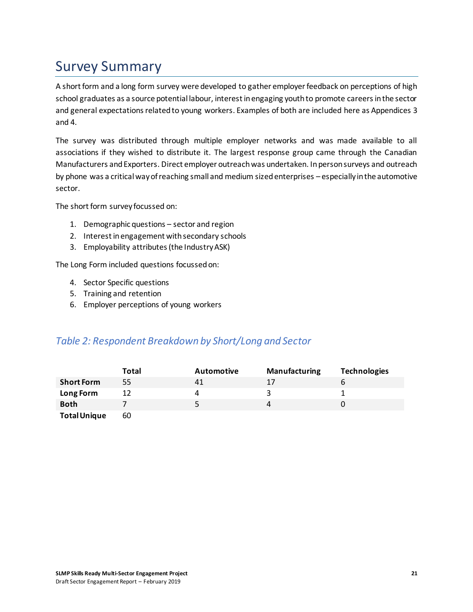### <span id="page-24-0"></span>Survey Summary

A short form and a long form survey were developed to gather employer feedback on perceptions of high school graduates as a source potential labour, interest in engaging youth to promote careers in the sector and general expectations related to young workers. Examples of both are included here as Appendices 3 and 4.

The survey was distributed through multiple employer networks and was made available to all associations if they wished to distribute it. The largest response group came through the Canadian Manufacturers and Exporters. Direct employer outreach was undertaken. In person surveys and outreach by phone was a critical way of reaching small and medium sized enterprises – especially in the automotive sector.

The short form survey focussed on:

- 1. Demographic questions sector and region
- 2. Interest in engagement with secondary schools
- 3. Employability attributes (the Industry ASK)

The Long Form included questions focussed on:

- 4. Sector Specific questions
- 5. Training and retention
- 6. Employer perceptions of young workers

#### *Table 2: Respondent Breakdown by Short/Long and Sector*

|                     | Total | <b>Automotive</b> | <b>Manufacturing</b> | <b>Technologies</b> |
|---------------------|-------|-------------------|----------------------|---------------------|
| <b>Short Form</b>   | 55    | 41                | 17                   |                     |
| Long Form           |       |                   |                      |                     |
| <b>Both</b>         |       | 5.                |                      |                     |
| <b>Total Unique</b> | 60    |                   |                      |                     |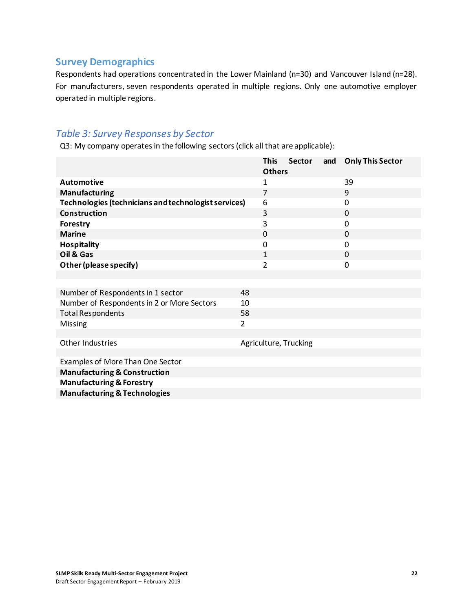#### **Survey Demographics**

Respondents had operations concentrated in the Lower Mainland (n=30) and Vancouver Island (n=28). For manufacturers, seven respondents operated in multiple regions. Only one automotive employer operated in multiple regions.

#### *Table 3: Survey Responses by Sector*

Q3: My company operates in the following sectors (click all that are applicable):

|                                                      |                | <b>This</b><br><b>Others</b> | <b>Sector</b>         | and | <b>Only This Sector</b> |
|------------------------------------------------------|----------------|------------------------------|-----------------------|-----|-------------------------|
| <b>Automotive</b>                                    |                | 1                            |                       |     | 39                      |
| <b>Manufacturing</b>                                 |                | $\overline{7}$               |                       |     | 9                       |
| Technologies (technicians and technologist services) |                | 6                            |                       |     | 0                       |
| <b>Construction</b>                                  |                | 3                            |                       |     | $\Omega$                |
| Forestry                                             |                | 3                            |                       |     | 0                       |
| <b>Marine</b>                                        |                | 0                            |                       |     | 0                       |
| <b>Hospitality</b>                                   |                | 0                            |                       |     | $\Omega$                |
| Oil & Gas                                            |                | $\mathbf{1}$                 |                       |     | $\Omega$                |
| Other (please specify)                               |                | $\overline{2}$               |                       |     | 0                       |
|                                                      |                |                              |                       |     |                         |
|                                                      |                |                              |                       |     |                         |
| Number of Respondents in 1 sector                    | 48             |                              |                       |     |                         |
| Number of Respondents in 2 or More Sectors           | 10             |                              |                       |     |                         |
| <b>Total Respondents</b>                             | 58             |                              |                       |     |                         |
| Missing                                              | $\overline{2}$ |                              |                       |     |                         |
|                                                      |                |                              |                       |     |                         |
| Other Industries                                     |                |                              | Agriculture, Trucking |     |                         |
| Examples of More Than One Sector                     |                |                              |                       |     |                         |
| <b>Manufacturing &amp; Construction</b>              |                |                              |                       |     |                         |
| <b>Manufacturing &amp; Forestry</b>                  |                |                              |                       |     |                         |
| <b>Manufacturing &amp; Technologies</b>              |                |                              |                       |     |                         |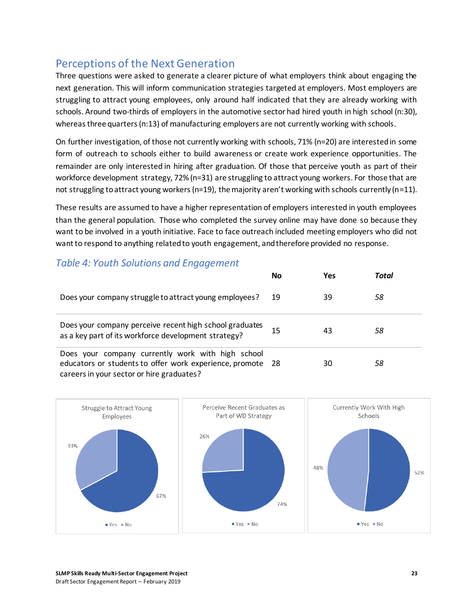### <span id="page-26-0"></span>Perceptions of the Next Generation

Three questions were asked to generate a clearer picture of what employers think about engaging the next generation. This will inform communication strategies targeted at employers. Most employers are struggling to attract young employees, only around half indicated that they are already working with schools. Around two-thirds of employers in the automotive sector had hired youth in high school (n:30), whereas three quarters (n:13) of manufacturing employers are not currently working with schools.

On further investigation, of those not currently working with schools, 71% (n=20) are interested in some form of outreach to schools either to build awareness or create work experience opportunities. The remainder are only interested in hiring after graduation. Of those that perceive youth as part of their workforce development strategy, 72% (n=31) are struggling to attract young workers. For those that are not struggling to attract young workers (n=19), the majority aren't working with schools currently (n=11).

These results are assumed to have a higher representation of employers interested in youth employees than the general population. Those who completed the survey online may have done so because they want to be involved in a youth initiative. Face to face outreach included meeting employers who did not want to respond to anything related to youth engagement, and therefore provided no response.

#### *Table 4: Youth Solutions and Engagement*

|                                                                                                                                                              | <b>No</b> | Yes | Total |
|--------------------------------------------------------------------------------------------------------------------------------------------------------------|-----------|-----|-------|
| Does your company struggle to attract young employees?                                                                                                       | 19        | 39  | 58    |
| Does your company perceive recent high school graduates<br>as a key part of its workforce development strategy?                                              | 15        | 43  | 58    |
| Does your company currently work with high school<br>educators or students to offer work experience, promote 28<br>careers in your sector or hire graduates? |           | 30  | 58    |

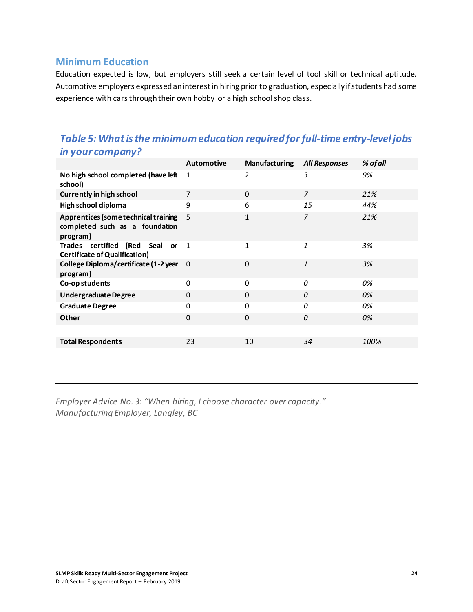#### **Minimum Education**

Education expected is low, but employers still seek a certain level of tool skill or technical aptitude. Automotive employers expressed an interest in hiring prior to graduation, especially if students had some experience with cars through their own hobby or a high school shop class.

#### *Table 5: What is the minimum education required for full-time entry-level jobs in your company?*

|                                                                                    | <b>Automotive</b> | <b>Manufacturing</b> | <b>All Responses</b> | % of all |
|------------------------------------------------------------------------------------|-------------------|----------------------|----------------------|----------|
| No high school completed (have left<br>school)                                     | 1                 | 2                    | 3                    | 9%       |
| <b>Currently in high school</b>                                                    | 7                 | $\Omega$             | $\overline{z}$       | 21%      |
| High school diploma                                                                | 9                 | 6                    | 15                   | 44%      |
| Apprentices (some technical training<br>completed such as a foundation<br>program) | 5                 | $\mathbf{1}$         | 7                    | 21%      |
| Trades certified (Red Seal or<br><b>Certificate of Qualification)</b>              | $\overline{1}$    | 1                    | 1                    | 3%       |
| College Diploma/certificate (1-2 year<br>program)                                  | 0                 | $\Omega$             | $\mathbf{1}$         | 3%       |
| Co-op students                                                                     | 0                 | $\Omega$             | $\Omega$             | 0%       |
| <b>UndergraduateDegree</b>                                                         | 0                 | $\Omega$             | 0                    | 0%       |
| <b>Graduate Degree</b>                                                             | 0                 | $\Omega$             | 0                    | 0%       |
| Other                                                                              | $\Omega$          | $\Omega$             | 0                    | 0%       |
|                                                                                    |                   |                      |                      |          |
| <b>Total Respondents</b>                                                           | 23                | 10                   | 34                   | 100%     |
|                                                                                    |                   |                      |                      |          |

*Employer Advice No. 3: "When hiring, I choose character over capacity." Manufacturing Employer, Langley, BC*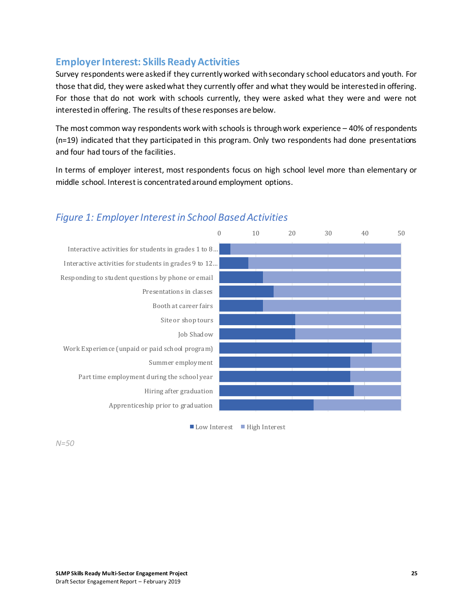#### **Employer Interest: Skills Ready Activities**

Survey respondents were asked if they currently worked with secondary school educators and youth. For those that did, they were asked what they currently offer and what they would be interested in offering. For those that do not work with schools currently, they were asked what they were and were not interested in offering. The results of these responses are below.

The most common way respondents work with schools is through work experience – 40% of respondents (n=19) indicated that they participated in this program. Only two respondents had done presentations and four had tours of the facilities.

In terms of employer interest, most respondents focus on high school level more than elementary or middle school. Interest is concentrated around employment options.



#### *Figure 1: Employer Interest in School Based Activities*

■ Low Interest ■ High Interest

*N=50*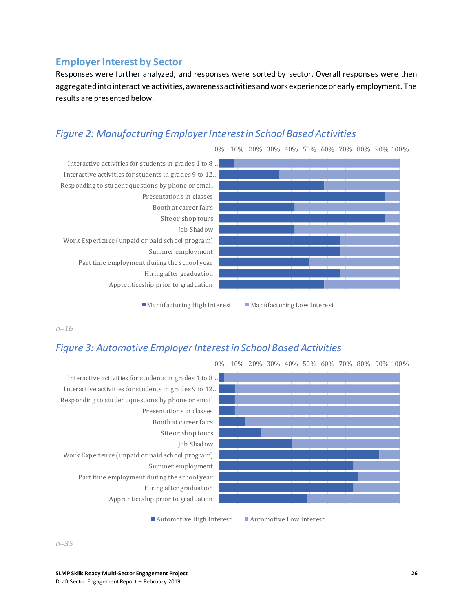#### **Employer Interest by Sector**

Responses were further analyzed, and responses were sorted by sector. Overall responses were then aggregated into interactive activities, awareness activities and work experience or early employment. The results are presented below.

#### *Figure 2: Manufacturing Employer Interest in School Based Activities*



Manufacturing High Interest Manufacturing Low Interest

*n=16*

#### *Figure 3: Automotive Employer Interest in School Based Activities*



0% 10% 20% 30% 40% 50% 60% 70% 80% 90% 100%

■ Automotive High Interest ■ Automotive Low Interest

*n=35*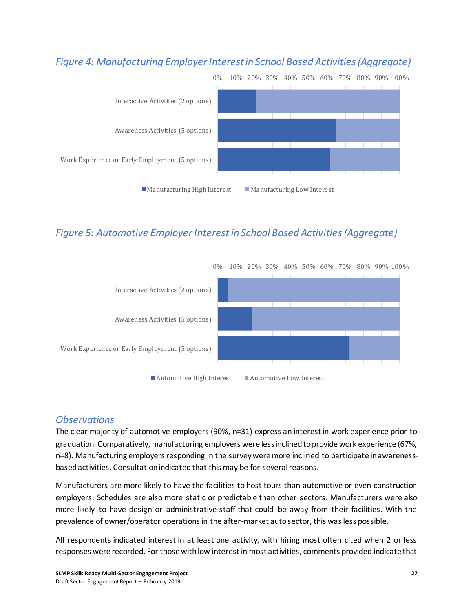#### *Figure 4: Manufacturing Employer Interest in School Based Activities (Aggregate)*



#### *Figure 5: Automotive Employer Interest in School Based Activities (Aggregate)*



#### *Observations*

The clear majority of automotive employers (90%, n=31) express an interest in work experience prior to graduation. Comparatively, manufacturing employers were less inclined to provide work experience (67%, n=8). Manufacturing employers responding in the survey were more inclined to participate in awarenessbased activities. Consultation indicated that this may be for several reasons.

Manufacturers are more likely to have the facilities to host tours than automotive or even construction employers. Schedules are also more static or predictable than other sectors. Manufacturers were also more likely to have design or administrative staff that could be away from their facilities. With the prevalence of owner/operator operations in the after-market auto sector, this was less possible.

All respondents indicated interest in at least one activity, with hiring most often cited when 2 or less responses were recorded. For those with low interest in most activities, comments provided indicate that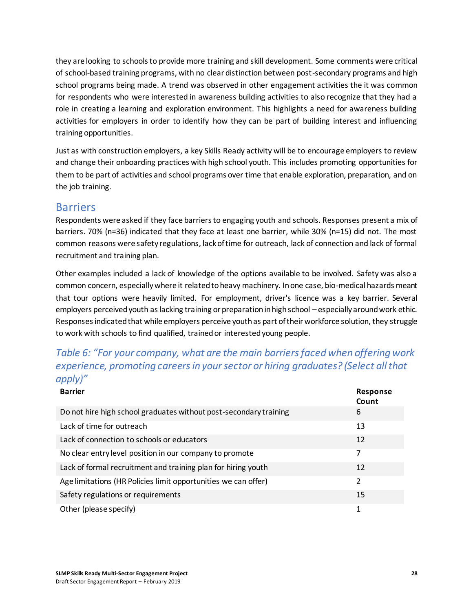they are looking to schools to provide more training and skill development. Some comments were critical of school-based training programs, with no clear distinction between post-secondary programs and high school programs being made. A trend was observed in other engagement activities the it was common for respondents who were interested in awareness building activities to also recognize that they had a role in creating a learning and exploration environment. This highlights a need for awareness building activities for employers in order to identify how they can be part of building interest and influencing training opportunities.

Just as with construction employers, a key Skills Ready activity will be to encourage employers to review and change their onboarding practices with high school youth. This includes promoting opportunities for them to be part of activities and school programs over time that enable exploration, preparation, and on the job training.

#### <span id="page-31-0"></span>Barriers

Respondents were asked if they face barriers to engaging youth and schools. Responses present a mix of barriers. 70% (n=36) indicated that they face at least one barrier, while 30% (n=15) did not. The most common reasons were safety regulations, lack of time for outreach, lack of connection and lack of formal recruitment and training plan.

Other examples included a lack of knowledge of the options available to be involved. Safety was also a common concern, especially where it related to heavy machinery. In one case, bio-medical hazards meant that tour options were heavily limited. For employment, driver's licence was a key barrier. Several employers perceived youth as lacking training or preparation in high school – especially around work ethic. Responses indicated that while employers perceive youth as part of their workforce solution, they struggle to work with schools to find qualified, trained or interested young people.

#### *Table 6: "For your company, what are the main barriers faced when offering work experience, promoting careers in your sector or hiring graduates? (Select all that apply)"*

| <b>Barrier</b>                                                    | <b>Response</b><br>Count |
|-------------------------------------------------------------------|--------------------------|
| Do not hire high school graduates without post-secondary training | 6                        |
| Lack of time for outreach                                         | 13                       |
| Lack of connection to schools or educators                        | 12                       |
| No clear entry level position in our company to promote           | 7                        |
| Lack of formal recruitment and training plan for hiring youth     | 12                       |
| Age limitations (HR Policies limit opportunities we can offer)    | $\overline{\phantom{a}}$ |
| Safety regulations or requirements                                | 15                       |
| Other (please specify)                                            | 1                        |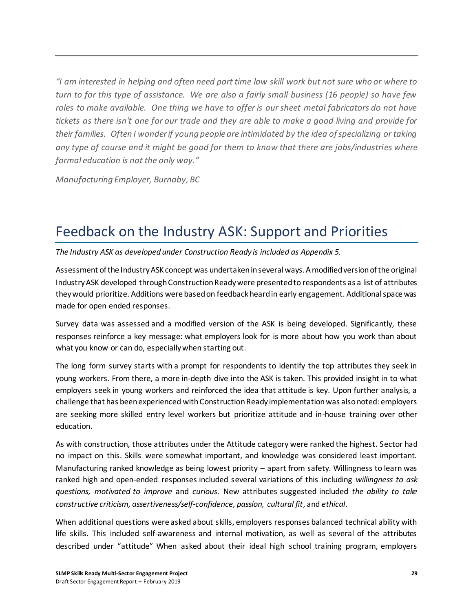*"I am interested in helping and often need part time low skill work but not sure who or where to turn to for this type of assistance. We are also a fairly small business (16 people) so have few roles to make available. One thing we have to offer is our sheet metal fabricators do not have tickets as there isn't one for our trade and they are able to make a good living and provide for their families. Often I wonder if young people are intimidated by the idea of specializing or taking any type of course and it might be good for them to know that there are jobs/industries where formal education is not the only way."*

*Manufacturing Employer, Burnaby, BC*

### <span id="page-32-0"></span>Feedback on the Industry ASK: Support and Priorities

*The Industry ASK as developed under Construction Ready is included as Appendix 5.*

Assessment of the Industry ASK concept was undertaken in several ways. A modified version of the original Industry ASK developed through Construction Ready were presented to respondents as a list of attributes they would prioritize. Additions were based on feedback heard in early engagement. Additional space was made for open ended responses.

Survey data was assessed and a modified version of the ASK is being developed. Significantly, these responses reinforce a key message: what employers look for is more about how you work than about what you know or can do, especially when starting out.

The long form survey starts with a prompt for respondents to identify the top attributes they seek in young workers. From there, a more in-depth dive into the ASK is taken. This provided insight in to what employers seek in young workers and reinforced the idea that attitude is key. Upon further analysis, a challenge that has been experienced with Construction Ready implementation was also noted: employers are seeking more skilled entry level workers but prioritize attitude and in-house training over other education.

As with construction, those attributes under the Attitude category were ranked the highest. Sector had no impact on this. Skills were somewhat important, and knowledge was considered least important. Manufacturing ranked knowledge as being lowest priority – apart from safety. Willingness to learn was ranked high and open-ended responses included several variations of this including *willingness to ask questions, motivated to improve* and *curious*. New attributes suggested included *the ability to take constructive criticism, assertiveness/self-confidence, passion, cultural fit*, and *ethical*.

When additional questions were asked about skills, employers responses balanced technical ability with life skills. This included self-awareness and internal motivation, as well as several of the attributes described under "attitude" When asked about their ideal high school training program, employers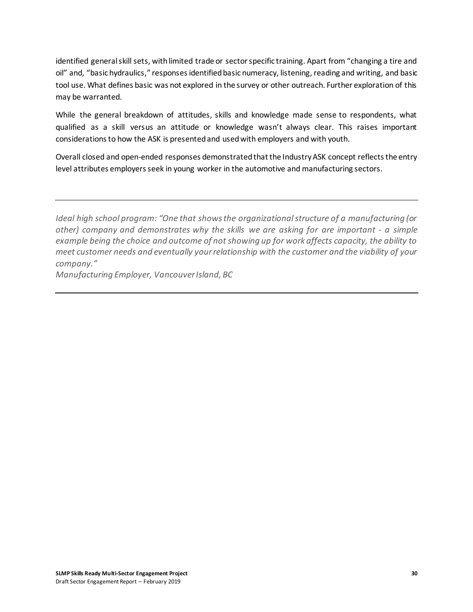identified general skill sets, with limited trade or sector specific training. Apart from "changing a tire and oil" and, "basic hydraulics," responses identified basic numeracy, listening, reading and writing, and basic tool use. What defines basic was not explored in the survey or other outreach. Further exploration of this may be warranted.

While the general breakdown of attitudes, skills and knowledge made sense to respondents, what qualified as a skill versus an attitude or knowledge wasn't always clear. This raises important considerations to how the ASK is presented and used with employers and with youth.

Overall closed and open-ended responses demonstrated that the Industry ASK concept reflects the entry level attributes employers seek in young worker in the automotive and manufacturing sectors.

*Ideal high school program: "One that shows the organizational structure of a manufacturing (or other) company and demonstrates why the skills we are asking for are important - a simple example being the choice and outcome of not showing up for work affects capacity, the ability to meet customer needs and eventually your relationship with the customer and the viability of your company."* 

*Manufacturing Employer, Vancouver Island, BC*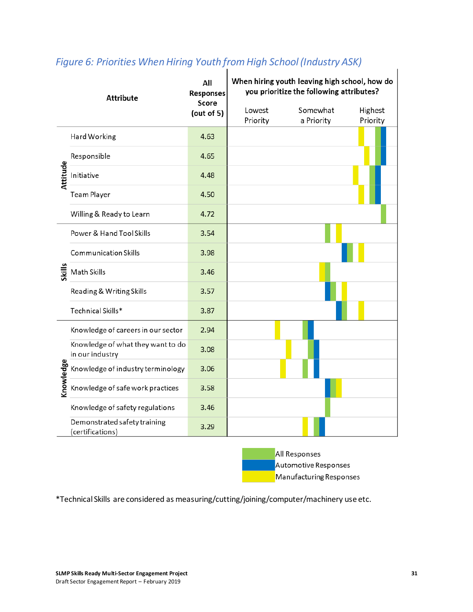| <b>Attribute</b> |                                                      | All<br><b>Responses</b><br>Score | When hiring youth leaving high school, how do<br>you prioritize the following attributes? |                        |                     |  |
|------------------|------------------------------------------------------|----------------------------------|-------------------------------------------------------------------------------------------|------------------------|---------------------|--|
|                  |                                                      | (out of $5$ )                    | Lowest<br>Priority                                                                        | Somewhat<br>a Priority | Highest<br>Priority |  |
|                  | Hard Working                                         | 4.63                             |                                                                                           |                        |                     |  |
|                  | Responsible                                          | 4.65                             |                                                                                           |                        |                     |  |
| Attitude         | Initiative                                           | 4.48                             |                                                                                           |                        |                     |  |
|                  | <b>Team Player</b>                                   | 4.50                             |                                                                                           |                        |                     |  |
|                  | Willing & Ready to Learn                             | 4.72                             |                                                                                           |                        |                     |  |
|                  | Power & Hand Tool Skills                             | 3.54                             |                                                                                           |                        |                     |  |
|                  | <b>Communication Skills</b>                          | 3.98                             |                                                                                           |                        |                     |  |
| <b>Skills</b>    | Math Skills                                          | 3.46                             |                                                                                           |                        |                     |  |
|                  | Reading & Writing Skills                             | 3.57                             |                                                                                           |                        |                     |  |
|                  | Technical Skills*                                    | 3.87                             |                                                                                           |                        |                     |  |
|                  | Knowledge of careers in our sector                   | 2.94                             |                                                                                           |                        |                     |  |
|                  | Knowledge of what they want to do<br>in our industry | 3.08                             |                                                                                           |                        |                     |  |
| Knowledge        | Knowledge of industry terminology                    | 3.06                             |                                                                                           |                        |                     |  |
|                  | Knowledge of safe work practices                     | 3.58                             |                                                                                           |                        |                     |  |
|                  | Knowledge of safety regulations                      | 3.46                             |                                                                                           |                        |                     |  |
|                  | Demonstrated safety training<br>(certifications)     | 3.29                             |                                                                                           |                        |                     |  |

### *Figure 6: Priorities When Hiring Youth from High School (Industry ASK)*

All Responses Automotive Responses Manufacturing Responses

\*Technical Skills are considered as measuring/cutting/joining/computer/machinery use etc.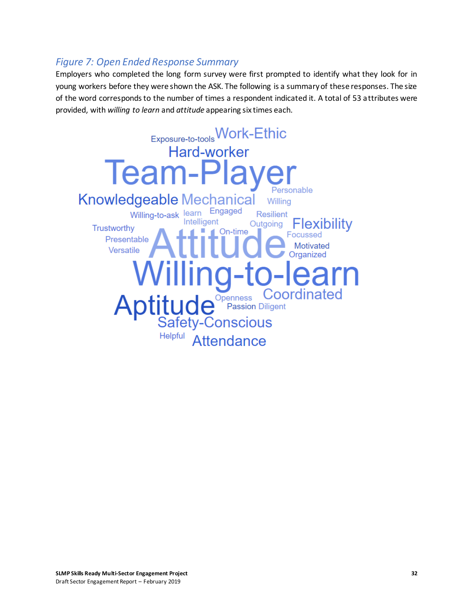#### *Figure 7: Open Ended Response Summary*

Employers who completed the long form survey were first prompted to identify what they look for in young workers before they were shown the ASK. The following is a summary of these responses. The size of the word corresponds to the number of times a respondent indicated it. A total of 53 attributes were provided, with *willing to learn* and *attitude* appearing six times each.

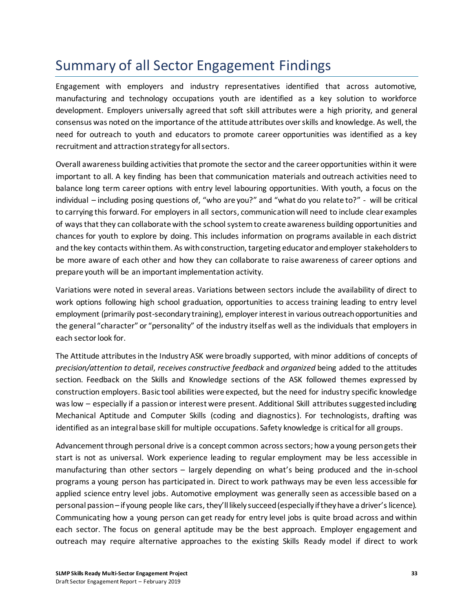### <span id="page-36-0"></span>Summary of all Sector Engagement Findings

Engagement with employers and industry representatives identified that across automotive, manufacturing and technology occupations youth are identified as a key solution to workforce development. Employers universally agreed that soft skill attributes were a high priority, and general consensus was noted on the importance of the attitude attributes over skills and knowledge. As well, the need for outreach to youth and educators to promote career opportunities was identified as a key recruitment and attraction strategy for all sectors.

Overall awareness building activities that promote the sector and the career opportunities within it were important to all. A key finding has been that communication materials and outreach activities need to balance long term career options with entry level labouring opportunities. With youth, a focus on the individual – including posing questions of, "who are you?" and "what do you relate to?" - will be critical to carrying this forward. For employers in all sectors, communication will need to include clear examples of ways that they can collaborate with the school system to create awareness building opportunities and chances for youth to explore by doing. This includes information on programs available in each district and the key contacts within them. As with construction, targeting educator and employer stakeholders to be more aware of each other and how they can collaborate to raise awareness of career options and prepare youth will be an important implementation activity.

Variations were noted in several areas. Variations between sectors include the availability of direct to work options following high school graduation, opportunities to access training leading to entry level employment (primarily post-secondary training), employer interest in various outreach opportunities and the general "character" or "personality" of the industry itself as well as the individuals that employers in each sector look for.

The Attitude attributes in the Industry ASK were broadly supported, with minor additions of concepts of *precision/attention to detail*, *receives constructive feedback* and *organized* being added to the attitudes section. Feedback on the Skills and Knowledge sections of the ASK followed themes expressed by construction employers. Basic tool abilities were expected, but the need for industry specific knowledge was low – especially if a passion or interest were present. Additional Skill attributes suggested including Mechanical Aptitude and Computer Skills (coding and diagnostics). For technologists, drafting was identified as an integral base skill for multiple occupations. Safety knowledge is critical for all groups.

Advancement through personal drive is a concept common across sectors; how a young person gets their start is not as universal. Work experience leading to regular employment may be less accessible in manufacturing than other sectors – largely depending on what's being produced and the in-school programs a young person has participated in. Direct to work pathways may be even less accessible for applied science entry level jobs. Automotive employment was generally seen as accessible based on a personal passion – if young people like cars, they'll likely succeed (especially if they have a driver's licence). Communicating how a young person can get ready for entry level jobs is quite broad across and within each sector. The focus on general aptitude may be the best approach. Employer engagement and outreach may require alternative approaches to the existing Skills Ready model if direct to work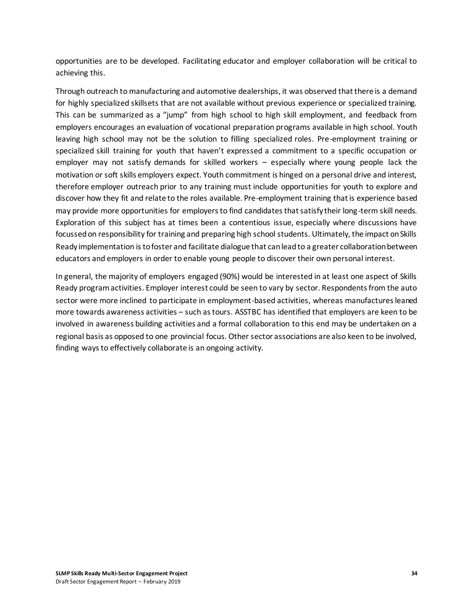opportunities are to be developed. Facilitating educator and employer collaboration will be critical to achieving this.

Through outreach to manufacturing and automotive dealerships, it was observed that there is a demand for highly specialized skillsets that are not available without previous experience or specialized training. This can be summarized as a "jump" from high school to high skill employment, and feedback from employers encourages an evaluation of vocational preparation programs available in high school. Youth leaving high school may not be the solution to filling specialized roles. Pre-employment training or specialized skill training for youth that haven't expressed a commitment to a specific occupation or employer may not satisfy demands for skilled workers – especially where young people lack the motivation or soft skills employers expect. Youth commitment is hinged on a personal drive and interest, therefore employer outreach prior to any training must include opportunities for youth to explore and discover how they fit and relate to the roles available. Pre-employment training that is experience based may provide more opportunities for employers to find candidates that satisfy their long-term skill needs. Exploration of this subject has at times been a contentious issue, especially where discussions have focussed on responsibility for training and preparing high school students. Ultimately, the impact on Skills Ready implementation is to foster and facilitate dialogue that can lead to a greater collaboration between educators and employers in order to enable young people to discover their own personal interest.

In general, the majority of employers engaged (90%) would be interested in at least one aspect of Skills Ready program activities. Employer interest could be seen to vary by sector. Respondents from the auto sector were more inclined to participate in employment-based activities, whereas manufactures leaned more towards awareness activities – such as tours. ASSTBC has identified that employers are keen to be involved in awareness building activities and a formal collaboration to this end may be undertaken on a regional basis as opposed to one provincial focus. Other sector associations are also keen to be involved, finding ways to effectively collaborate is an ongoing activity.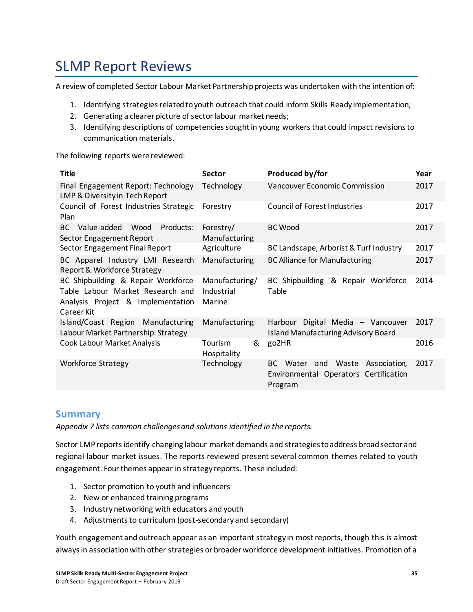### <span id="page-38-0"></span>SLMP Report Reviews

A review of completed Sector Labour Market Partnership projects was undertaken with the intention of:

- 1. Identifying strategies related to youth outreach that could inform Skills Ready implementation;
- 2. Generating a clearer picture of sector labour market needs;
- 3. Identifying descriptions of competencies sought in young workers that could impact revisions to communication materials.

The following reports were reviewed:

| <b>Title</b>                                                                                                              | Sector                                 | Produced by/for                                                                                  | Year |
|---------------------------------------------------------------------------------------------------------------------------|----------------------------------------|--------------------------------------------------------------------------------------------------|------|
| Final Engagement Report: Technology<br>LMP & Diversity in Tech Report                                                     | Technology                             | <b>Vancouver Economic Commission</b>                                                             | 2017 |
| Council of Forest Industries Strategic<br>Plan                                                                            | Forestry                               | Council of Forest Industries                                                                     | 2017 |
| BC Value-added<br>Wood<br>Products:<br>Sector Engagement Report                                                           | Forestry/<br>Manufacturing             | <b>BC Wood</b>                                                                                   | 2017 |
| Sector Engagement Final Report                                                                                            | Agriculture                            | BC Landscape, Arborist & Turf Industry                                                           | 2017 |
| BC Apparel Industry LMI Research<br>Report & Workforce Strategy                                                           | Manufacturing                          | <b>BC Alliance for Manufacturing</b>                                                             | 2017 |
| BC Shipbuilding & Repair Workforce<br>Table Labour Market Research and<br>Analysis Project & Implementation<br>Career Kit | Manufacturing/<br>Industrial<br>Marine | BC Shipbuilding & Repair Workforce<br>Table                                                      | 2014 |
| Island/Coast Region Manufacturing<br>Labour Market Partnership: Strategy                                                  | Manufacturing                          | Harbour Digital Media - Vancouver<br><b>Island Manufacturing Advisory Board</b>                  | 2017 |
| Cook Labour Market Analysis                                                                                               | Tourism<br>&<br>Hospitality            | go2HR                                                                                            | 2016 |
| <b>Workforce Strategy</b>                                                                                                 | Technology                             | Waste<br>Association,<br>BC.<br>Water<br>and<br>Environmental Operators Certification<br>Program | 2017 |

#### **Summary**

*Appendix 7 lists common challenges and solutions identified in the reports.* 

Sector LMP reports identify changing labour market demands and strategies to address broad sector and regional labour market issues. The reports reviewed present several common themes related to youth engagement. Four themes appear in strategy reports. These included:

- 1. Sector promotion to youth and influencers
- 2. New or enhanced training programs
- 3. Industry networking with educators and youth
- 4. Adjustments to curriculum (post-secondary and secondary)

Youth engagement and outreach appear as an important strategy in most reports, though this is almost always in association with other strategies or broader workforce development initiatives. Promotion of a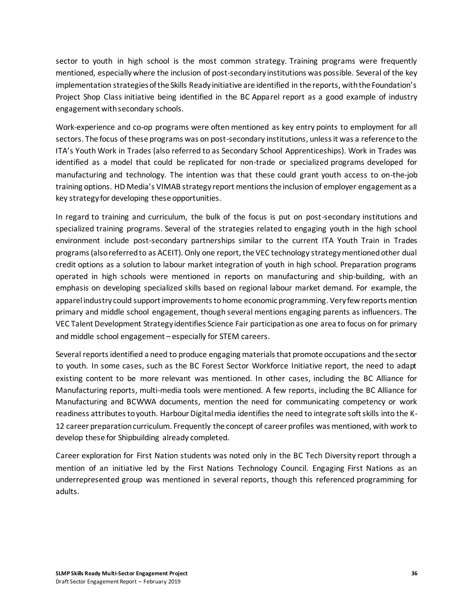sector to youth in high school is the most common strategy. Training programs were frequently mentioned, especiallywhere the inclusion of post-secondary institutions was possible. Several of the key implementation strategies of the Skills Ready initiative are identified in the reports, with the Foundation's Project Shop Class initiative being identified in the BC Apparel report as a good example of industry engagement with secondary schools.

Work-experience and co-op programs were often mentioned as key entry points to employment for all sectors. The focus of these programs was on post-secondary institutions, unless it was a reference to the ITA's Youth Work in Trades (also referred to as Secondary School Apprenticeships). Work in Trades was identified as a model that could be replicated for non-trade or specialized programs developed for manufacturing and technology. The intention was that these could grant youth access to on-the-job training options. HD Media's VIMAB strategy report mentions the inclusion of employer engagement as a key strategy for developing these opportunities.

In regard to training and curriculum, the bulk of the focus is put on post-secondary institutions and specialized training programs. Several of the strategies related to engaging youth in the high school environment include post-secondary partnerships similar to the current ITA Youth Train in Trades programs (also referred to as ACEIT). Only one report, the VEC technology strategy mentioned other dual credit options as a solution to labour market integration of youth in high school. Preparation programs operated in high schools were mentioned in reports on manufacturing and ship-building, with an emphasis on developing specialized skills based on regional labour market demand. For example, the apparel industry could support improvements to home economic programming. Very few reports mention primary and middle school engagement, though several mentions engaging parents as influencers. The VEC Talent Development Strategy identifies Science Fair participation as one area to focus on for primary and middle school engagement – especially for STEM careers.

Several reports identified a need to produce engaging materials that promote occupations and the sector to youth. In some cases, such as the BC Forest Sector Workforce Initiative report, the need to adapt existing content to be more relevant was mentioned. In other cases, including the BC Alliance for Manufacturing reports, multi-media tools were mentioned. A few reports, including the BC Alliance for Manufacturing and BCWWA documents, mention the need for communicating competency or work readiness attributes to youth. Harbour Digital media identifies the need to integrate soft skills into the K-12 career preparation curriculum. Frequently the concept of career profiles was mentioned, with work to develop these for Shipbuilding already completed.

Career exploration for First Nation students was noted only in the BC Tech Diversity report through a mention of an initiative led by the First Nations Technology Council. Engaging First Nations as an underrepresented group was mentioned in several reports, though this referenced programming for adults.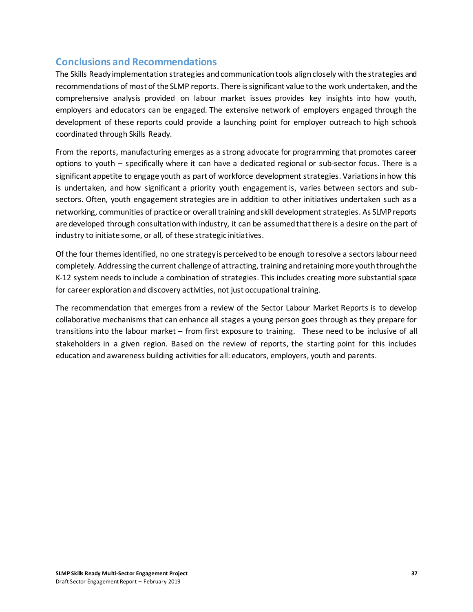#### **Conclusions and Recommendations**

The Skills Ready implementation strategies and communication tools align closely with the strategies and recommendations of most of the SLMP reports. There is significant value to the work undertaken, and the comprehensive analysis provided on labour market issues provides key insights into how youth, employers and educators can be engaged. The extensive network of employers engaged through the development of these reports could provide a launching point for employer outreach to high schools coordinated through Skills Ready.

From the reports, manufacturing emerges as a strong advocate for programming that promotes career options to youth – specifically where it can have a dedicated regional or sub-sector focus. There is a significant appetite to engage youth as part of workforce development strategies. Variations in how this is undertaken, and how significant a priority youth engagement is, varies between sectors and subsectors. Often, youth engagement strategies are in addition to other initiatives undertaken such as a networking, communities of practice or overall training and skill development strategies. As SLMP reports are developed through consultation with industry, it can be assumed that there is a desire on the part of industry to initiate some, or all, of these strategic initiatives.

Of the four themes identified, no one strategy is perceived to be enough to resolve a sectors labour need completely. Addressing the current challenge of attracting, training and retaining more youth through the K-12 system needs to include a combination of strategies. This includes creating more substantial space for career exploration and discovery activities, not just occupational training.

The recommendation that emerges from a review of the Sector Labour Market Reports is to develop collaborative mechanisms that can enhance all stages a young person goes through as they prepare for transitions into the labour market – from first exposure to training. These need to be inclusive of all stakeholders in a given region. Based on the review of reports, the starting point for this includes education and awareness building activities for all: educators, employers, youth and parents.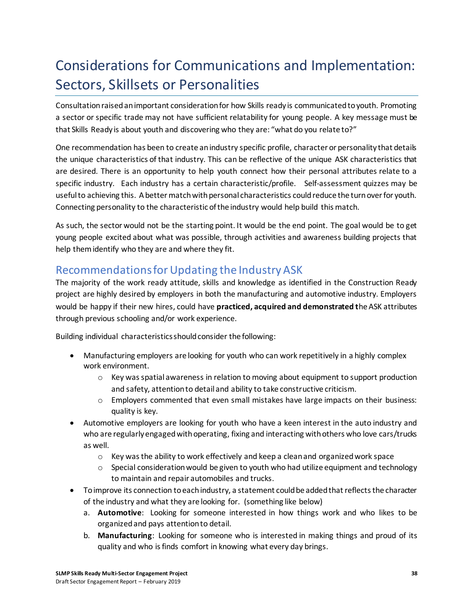### <span id="page-41-0"></span>Considerations for Communications and Implementation: Sectors, Skillsets or Personalities

Consultation raised an important consideration for how Skills ready is communicated to youth. Promoting a sector or specific trade may not have sufficient relatability for young people. A key message must be that Skills Ready is about youth and discovering who they are: "what do you relate to?"

One recommendation has been to create an industry specific profile, character or personality that details the unique characteristics of that industry. This can be reflective of the unique ASK characteristics that are desired. There is an opportunity to help youth connect how their personal attributes relate to a specific industry. Each industry has a certain characteristic/profile. Self-assessment quizzes may be useful to achieving this. A better match with personal characteristics could reduce the turn over for youth. Connecting personality to the characteristic of the industry would help build this match.

As such, the sector would not be the starting point. It would be the end point. The goal would be to get young people excited about what was possible, through activities and awareness building projects that help them identify who they are and where they fit.

### <span id="page-41-1"></span>Recommendations for Updating the Industry ASK

The majority of the work ready attitude, skills and knowledge as identified in the Construction Ready project are highly desired by employers in both the manufacturing and automotive industry. Employers would be happy if their new hires, could have **practiced, acquired and demonstrated t**he ASK attributes through previous schooling and/or work experience.

Building individual characteristics should consider the following:

- Manufacturing employers are looking for youth who can work repetitively in a highly complex work environment.
	- $\circ$  Key was spatial awareness in relation to moving about equipment to support production and safety, attention to detail and ability to take constructive criticism.
	- $\circ$  Employers commented that even small mistakes have large impacts on their business: quality is key.
- Automotive employers are looking for youth who have a keen interest in the auto industry and who are regularly engaged with operating, fixing and interacting with others who love cars/trucks as well.
	- $\circ$  Key was the ability to work effectively and keep a clean and organized work space
	- $\circ$  Special consideration would be given to youth who had utilize equipment and technology to maintain and repair automobiles and trucks.
- To improve its connection to each industry, a statement could be added that reflects the character of the industry and what they are looking for. (something like below)
	- a. **Automotive**: Looking for someone interested in how things work and who likes to be organized and pays attention to detail.
	- b. **Manufacturing**: Looking for someone who is interested in making things and proud of its quality and who is finds comfort in knowing what every day brings.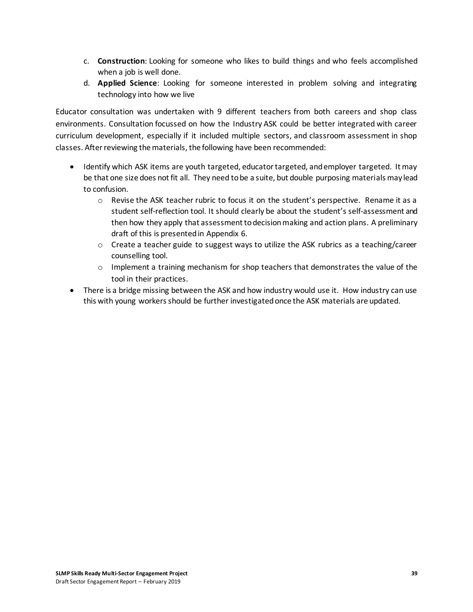- c. **Construction**: Looking for someone who likes to build things and who feels accomplished when a job is well done.
- d. **Applied Science**: Looking for someone interested in problem solving and integrating technology into how we live

Educator consultation was undertaken with 9 different teachers from both careers and shop class environments. Consultation focussed on how the Industry ASK could be better integrated with career curriculum development, especially if it included multiple sectors, and classroom assessment in shop classes. After reviewing the materials, the following have been recommended:

- Identify which ASK items are youth targeted, educator targeted, and employer targeted. It may be that one size does not fit all. They need to be a suite, but double purposing materials may lead to confusion.
	- o Revise the ASK teacher rubric to focus it on the student's perspective. Rename it as a student self-reflection tool. It should clearly be about the student's self-assessment and then how they apply that assessment to decision making and action plans. A preliminary draft of this is presented in Appendix 6.
	- $\circ$  Create a teacher guide to suggest ways to utilize the ASK rubrics as a teaching/career counselling tool.
	- $\circ$  Implement a training mechanism for shop teachers that demonstrates the value of the tool in their practices.
- There is a bridge missing between the ASK and how industry would use it. How industry can use this with young workers should be further investigated once the ASK materials are updated.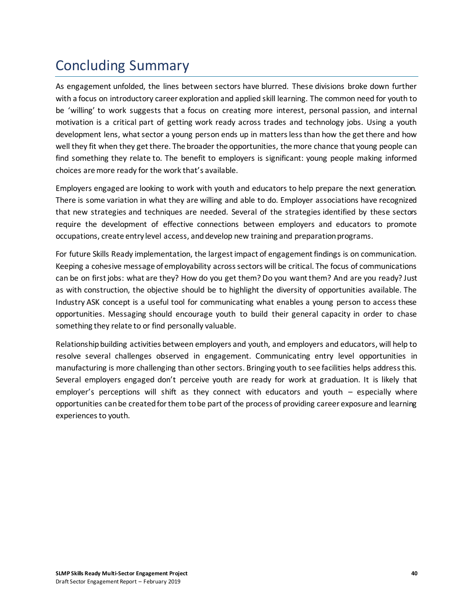### <span id="page-43-0"></span>Concluding Summary

As engagement unfolded, the lines between sectors have blurred. These divisions broke down further with a focus on introductory career exploration and applied skill learning. The common need for youth to be 'willing' to work suggests that a focus on creating more interest, personal passion, and internal motivation is a critical part of getting work ready across trades and technology jobs. Using a youth development lens, what sector a young person ends up in matters less than how the get there and how well they fit when they get there. The broader the opportunities, the more chance that young people can find something they relate to. The benefit to employers is significant: young people making informed choices are more ready for the work that's available.

Employers engaged are looking to work with youth and educators to help prepare the next generation. There is some variation in what they are willing and able to do. Employer associations have recognized that new strategies and techniques are needed. Several of the strategies identified by these sectors require the development of effective connections between employers and educators to promote occupations, create entry level access, and develop new training and preparation programs.

For future Skills Ready implementation, the largest impact of engagement findings is on communication. Keeping a cohesive message of employability across sectors will be critical. The focus of communications can be on first jobs: what are they? How do you get them? Do you want them? And are you ready? Just as with construction, the objective should be to highlight the diversity of opportunities available. The Industry ASK concept is a useful tool for communicating what enables a young person to access these opportunities. Messaging should encourage youth to build their general capacity in order to chase something they relate to or find personally valuable.

Relationship building activities between employers and youth, and employers and educators, will help to resolve several challenges observed in engagement. Communicating entry level opportunities in manufacturing is more challenging than other sectors. Bringing youth to see facilities helps address this. Several employers engaged don't perceive youth are ready for work at graduation. It is likely that employer's perceptions will shift as they connect with educators and youth – especially where opportunities can be created for them to be part of the process of providing career exposure and learning experiences to youth.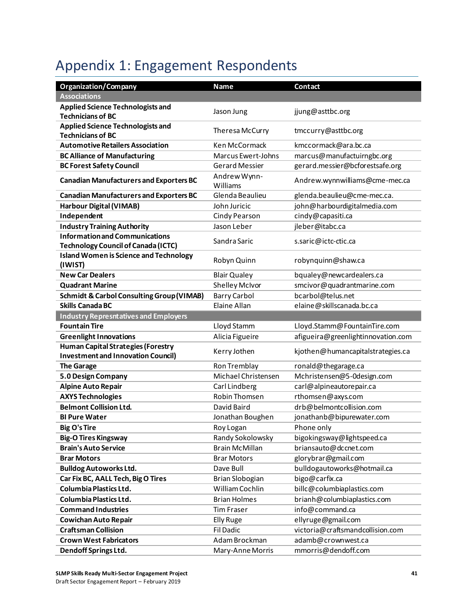# <span id="page-44-0"></span>Appendix 1: Engagement Respondents

| <b>Organization/Company</b>                              | Name                     | <b>Contact</b>                     |
|----------------------------------------------------------|--------------------------|------------------------------------|
| <b>Associations</b>                                      |                          |                                    |
| <b>Applied Science Technologists and</b>                 |                          |                                    |
| <b>Technicians of BC</b>                                 | Jason Jung               | jjung@asttbc.org                   |
| <b>Applied Science Technologists and</b>                 | Theresa McCurry          | tmccurry@asttbc.org                |
| <b>Technicians of BC</b>                                 |                          |                                    |
| <b>Automotive Retailers Association</b>                  | Ken McCormack            | kmccormack@ara.bc.ca               |
| <b>BC Alliance of Manufacturing</b>                      | Marcus Ewert-Johns       | marcus@manufactuirngbc.org         |
| <b>BC Forest Safety Council</b>                          | <b>Gerard Messier</b>    | gerard.messier@bcforestsafe.org    |
| <b>Canadian Manufacturers and Exporters BC</b>           | Andrew Wynn-<br>Williams | Andrew.wynnwilliams@cme-mec.ca     |
| <b>Canadian Manufacturers and Exporters BC</b>           | Glenda Beaulieu          | glenda.beaulieu@cme-mec.ca.        |
| Harbour Digital (VIMAB)                                  | John Juricic             | john@harbourdigitalmedia.com       |
| Independent                                              | <b>Cindy Pearson</b>     | cindy@capasiti.ca                  |
| <b>Industry Training Authority</b>                       | Jason Leber              | jleber@itabc.ca                    |
| <b>Information and Communications</b>                    | Sandra Saric             | s.saric@ictc-ctic.ca               |
| <b>Technology Council of Canada (ICTC)</b>               |                          |                                    |
| <b>Island Women is Science and Technology</b><br>(IWIST) | Robyn Quinn              | robynquinn@shaw.ca                 |
| <b>New Car Dealers</b>                                   | <b>Blair Qualey</b>      | bqualey@newcardealers.ca           |
| <b>Quadrant Marine</b>                                   | Shelley McIvor           | smcivor@quadrantmarine.com         |
| <b>Schmidt &amp; Carbol Consulting Group (VIMAB)</b>     | <b>Barry Carbol</b>      | bcarbol@telus.net                  |
| <b>Skills Canada BC</b>                                  | Elaine Allan             | elaine@skillscanada.bc.ca          |
| <b>Industry Represntatives and Employers</b>             |                          |                                    |
| <b>Fountain Tire</b>                                     | Lloyd Stamm              | Lloyd.Stamm@FountainTire.com       |
| <b>Greenlight Innovations</b>                            | Alicia Figueire          | afigueira@greenlightinnovation.com |
| <b>Human Capital Strategies (Forestry</b>                | Kerry Jothen             | kjothen@humancapitalstrategies.ca  |
| <b>Investment and Innovation Council)</b>                |                          |                                    |
| <b>The Garage</b>                                        | Ron Tremblay             | ronald@thegarage.ca                |
| 5.0 Design Company                                       | Michael Christensen      | Mchristensen@5-0design.com         |
| <b>Alpine Auto Repair</b>                                | Carl Lindberg            | carl@alpineautorepair.ca           |
| <b>AXYS Technologies</b>                                 | Robin Thomsen            | rthomsen@axys.com                  |
| <b>Belmont Collision Ltd.</b>                            | David Baird              | drb@belmontcollision.com           |
| <b>BI Pure Water</b>                                     | Jonathan Boughen         | jonathanb@bipurewater.com          |
| <b>Big O's Tire</b>                                      | Roy Logan                | Phone only                         |
| <b>Big-O Tires Kingsway</b>                              | Randy Sokolowsky         | bigokingsway@lightspeed.ca         |
| <b>Brain's Auto Service</b>                              | <b>Brain McMillan</b>    | briansauto@dccnet.com              |
| <b>Brar Motors</b>                                       | <b>Brar Motors</b>       | glorybrar@gmail.com                |
| <b>Bulldog Autoworks Ltd.</b>                            | Dave Bull                | bulldogautoworks@hotmail.ca        |
| Car Fix BC, AALL Tech, Big O Tires                       | <b>Brian Slobogian</b>   | bigo@carfix.ca                     |
| Columbia Plastics Ltd.                                   | William Cochlin          | billc@columbiaplastics.com         |
| <b>Columbia Plastics Ltd.</b>                            | <b>Brian Holmes</b>      | brianh@columbiaplastics.com        |
| <b>Command Industries</b>                                | <b>Tim Fraser</b>        | info@command.ca                    |
| <b>Cowichan Auto Repair</b>                              | <b>Elly Ruge</b>         | ellyruge@gmail.com                 |
| <b>Craftsman Collision</b>                               | <b>Fil Dadic</b>         | victoria@craftsmandcollision.com   |
| <b>Crown West Fabricators</b>                            | Adam Brockman            | adamb@crownwest.ca                 |
| Dendoff Springs Ltd.                                     | Mary-Anne Morris         | mmorris@dendoff.com                |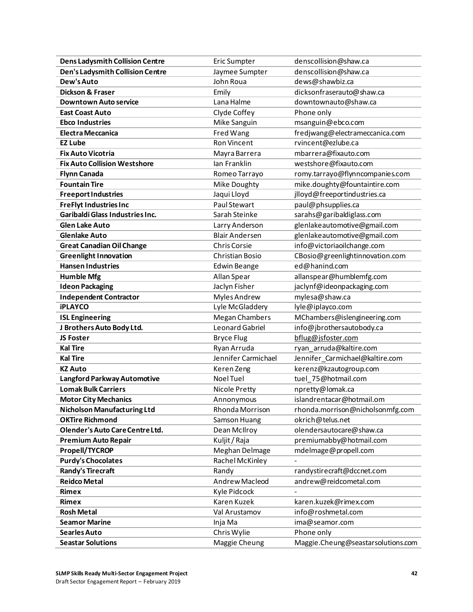| <b>Dens Ladysmith Collision Centre</b>  | Eric Sumpter          | denscollision@shaw.ca              |
|-----------------------------------------|-----------------------|------------------------------------|
| <b>Den's Ladysmith Collision Centre</b> | Jaymee Sumpter        | denscollision@shaw.ca              |
| Dew's Auto                              | John Roua             | dews@shawbiz.ca                    |
| Dickson & Fraser                        | Emily                 | dicksonfraserauto@shaw.ca          |
| <b>Downtown Auto service</b>            | Lana Halme            | downtownauto@shaw.ca               |
| <b>East Coast Auto</b>                  | Clyde Coffey          | Phone only                         |
| <b>Ebco Industries</b>                  | Mike Sanguin          | msanguin@ebco.com                  |
| <b>Electra Meccanica</b>                | Fred Wang             | fredjwang@electrameccanica.com     |
| <b>EZ Lube</b>                          | <b>Ron Vincent</b>    | rvincent@ezlube.ca                 |
| <b>Fix Auto Vicotria</b>                | Mayra Barrera         | mbarrera@fixauto.com               |
| <b>Fix Auto Collision Westshore</b>     | Ian Franklin          | westshore@fixauto.com              |
| <b>Flynn Canada</b>                     | Romeo Tarrayo         | romy.tarrayo@flynncompanies.com    |
| <b>Fountain Tire</b>                    | Mike Doughty          | mike.doughty@fountaintire.com      |
| <b>Freeport Industries</b>              | Jaqui Lloyd           | jlloyd@freeportindustries.ca       |
| <b>FreFlyt Industries Inc</b>           | Paul Stewart          | paul@phsupplies.ca                 |
| Garibaldi Glass Industries Inc.         | Sarah Steinke         | sarahs@garibaldiglass.com          |
| <b>Glen Lake Auto</b>                   | Larry Anderson        | glenlakeautomotive@gmail.com       |
| <b>Glenlake Auto</b>                    | <b>Blair Andersen</b> | glenlakeautomotive@gmail.com       |
| <b>Great Canadian Oil Change</b>        | <b>Chris Corsie</b>   | info@victoriaoilchange.com         |
| <b>Greenlight Innovation</b>            | Christian Bosio       | CBosio@greenlightinnovation.com    |
| <b>Hansen Industries</b>                | <b>Edwin Beange</b>   | ed@hanind.com                      |
| <b>Humble Mfg</b>                       | Allan Spear           | allanspear@humblemfg.com           |
| <b>Ideon Packaging</b>                  | Jaclyn Fisher         | jaclynf@ideonpackaging.com         |
| <b>Independent Contractor</b>           | Myles Andrew          | mylesa@shaw.ca                     |
| <b>iPLAYCO</b>                          | Lyle McGladdery       | lyle@iplayco.com                   |
| <b>ISL Engineering</b>                  | <b>Megan Chambers</b> | MChambers@islengineering.com       |
| J Brothers Auto Body Ltd.               | Leonard Gabriel       | info@jbrothersautobody.ca          |
| <b>JS Foster</b>                        | <b>Bryce Flug</b>     | bflug@isfoster.com                 |
| <b>Kal Tire</b>                         | Ryan Arruda           | ryan_arruda@kaltire.com            |
| <b>Kal Tire</b>                         | Jennifer Carmichael   | Jennifer Carmichael@kaltire.com    |
| <b>KZ Auto</b>                          | Keren Zeng            | kerenz@kzautogroup.com             |
| Langford Parkway Automotive             | Noel Tuel             | tuel_75@hotmail.com                |
| <b>Lomak Bulk Carriers</b>              | Nicole Pretty         | npretty@lomak.ca                   |
| <b>Motor City Mechanics</b>             | Annonymous            | islandrentacar@hotmail.om          |
| <b>Nicholson Manufacturing Ltd</b>      | Rhonda Morrison       | rhonda.morrison@nicholsonmfg.com   |
| <b>OKTire Richmond</b>                  | Samson Huang          | okrich@telus.net                   |
| Olender's Auto Care Centre Ltd.         | Dean McIlroy          | olendersautocare@shaw.ca           |
| <b>Premium Auto Repair</b>              | Kuljit / Raja         | premiumabby@hotmail.com            |
| Propell/TYCROP                          | Meghan Delmage        | mdelmage@propell.com               |
| <b>Purdy's Chocolates</b>               | Rachel McKinley       |                                    |
| <b>Randy's Tirecraft</b>                | Randy                 | randystirecraft@dccnet.com         |
| <b>Reidco Metal</b>                     | Andrew Macleod        | andrew@reidcometal.com             |
| <b>Rimex</b>                            | Kyle Pidcock          |                                    |
| <b>Rimex</b>                            | Karen Kuzek           | karen.kuzek@rimex.com              |
| <b>Rosh Metal</b>                       | Val Arustamov         | info@roshmetal.com                 |
| <b>Seamor Marine</b>                    | Inja Ma               | ima@seamor.com                     |
| <b>Searles Auto</b>                     | Chris Wylie           | Phone only                         |
| <b>Seastar Solutions</b>                | Maggie Cheung         | Maggie.Cheung@seastarsolutions.com |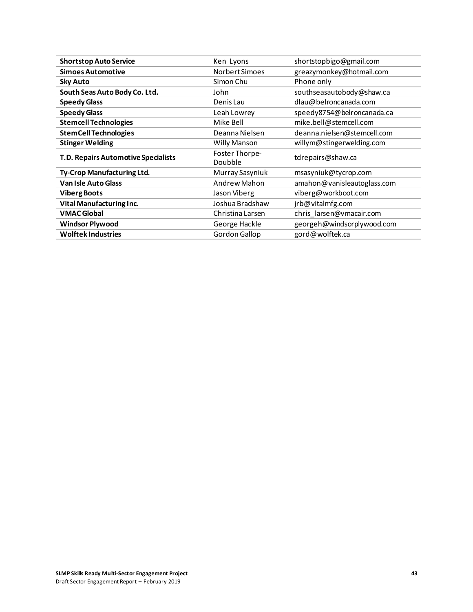| <b>Shortstop Auto Service</b>       | Ken Lyons        | shortstopbigo@gmail.com     |
|-------------------------------------|------------------|-----------------------------|
| <b>Simoes Automotive</b>            | Norbert Simoes   | greazymonkey@hotmail.com    |
| <b>Sky Auto</b>                     | Simon Chu        | Phone only                  |
| South Seas Auto Body Co. Ltd.       | John             | southseasautobody@shaw.ca   |
| <b>Speedy Glass</b>                 | Denis Lau        | dlau@belroncanada.com       |
| <b>Speedy Glass</b>                 | Leah Lowrey      | speedy8754@belroncanada.ca  |
| <b>Stemcell Technologies</b>        | Mike Bell        | mike.bell@stemcell.com      |
| <b>StemCell Technologies</b>        | Deanna Nielsen   | deanna.nielsen@stemcell.com |
| <b>Stinger Welding</b>              | Willy Manson     | willym@stingerwelding.com   |
| T.D. Repairs Automotive Specialists | Foster Thorpe-   | tdrepairs@shaw.ca           |
|                                     | Doubble          |                             |
| Ty-Crop Manufacturing Ltd.          | Murray Sasyniuk  | msasyniuk@tycrop.com        |
| <b>Van Isle Auto Glass</b>          | Andrew Mahon     | amahon@vanisleautoglass.com |
| <b>Viberg Boots</b>                 | Jason Viberg     | viberg@workboot.com         |
| Vital Manufacturing Inc.            | Joshua Bradshaw  | jrb@vitalmfg.com            |
|                                     |                  |                             |
| <b>VMAC Global</b>                  | Christina Larsen | chris_larsen@vmacair.com    |
| <b>Windsor Plywood</b>              | George Hackle    | georgeh@windsorplywood.com  |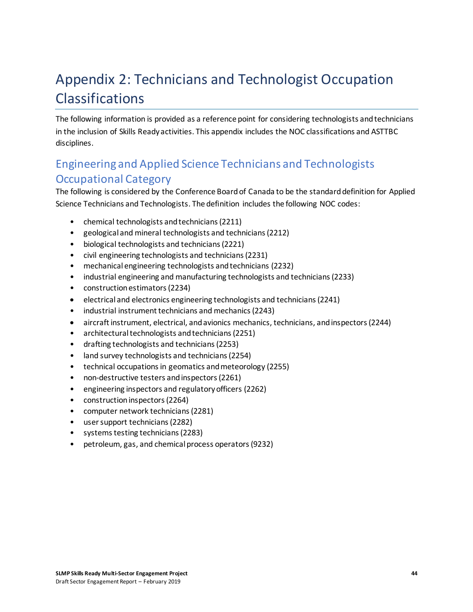# <span id="page-47-0"></span>Appendix 2: Technicians and Technologist Occupation Classifications

The following information is provided as a reference point for considering technologists and technicians in the inclusion of Skills Ready activities. This appendix includes the NOC classifications and ASTTBC disciplines.

### <span id="page-47-1"></span>Engineering and Applied Science Technicians and Technologists Occupational Category

The following is considered by the Conference Board of Canada to be the standard definition for Applied Science Technicians and Technologists. The definition includes the following NOC codes:

- chemical technologists and technicians (2211)
- geological and mineral technologists and technicians (2212)
- biological technologists and technicians (2221)
- civil engineering technologists and technicians (2231)
- mechanical engineering technologists and technicians (2232)
- industrial engineering and manufacturing technologists and technicians (2233)
- construction estimators (2234)
- electrical and electronics engineering technologists and technicians (2241)
- industrial instrument technicians and mechanics (2243)
- aircraft instrument, electrical, and avionics mechanics, technicians, and inspectors (2244)
- architectural technologists and technicians (2251)
- drafting technologists and technicians (2253)
- land survey technologists and technicians (2254)
- technical occupations in geomatics and meteorology (2255)
- non-destructive testers and inspectors (2261)
- engineering inspectors and regulatory officers (2262)
- construction inspectors (2264)
- computer network technicians (2281)
- user support technicians (2282)
- systems testing technicians (2283)
- petroleum, gas, and chemical process operators (9232)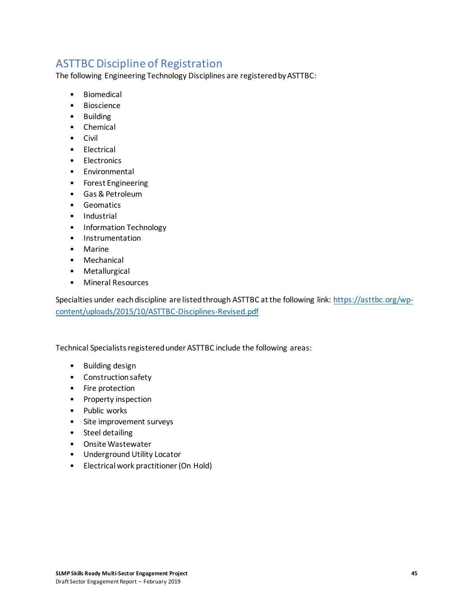### <span id="page-48-0"></span>ASTTBC Discipline of Registration

The following Engineering Technology Disciplines are registered by ASTTBC:

- **Biomedical**
- Bioscience
- Building
- Chemical
- Civil
- Electrical
- Electronics
- Environmental
- Forest Engineering
- Gas & Petroleum
- Geomatics
- Industrial
- Information Technology
- Instrumentation
- Marine
- Mechanical
- Metallurgical
- Mineral Resources

Specialties under each discipline are listed through ASTTBC at the following link: [https://asttbc.org/wp](https://asttbc.org/wp-content/uploads/2015/10/ASTTBC-Disciplines-Revised.pdf)[content/uploads/2015/10/ASTTBC-Disciplines-Revised.pdf](https://asttbc.org/wp-content/uploads/2015/10/ASTTBC-Disciplines-Revised.pdf)

Technical Specialists registered under ASTTBC include the following areas:

- Building design
- Construction safety
- Fire protection
- Property inspection
- Public works
- Site improvement surveys
- Steel detailing
- Onsite Wastewater
- Underground Utility Locator
- Electrical work practitioner (On Hold)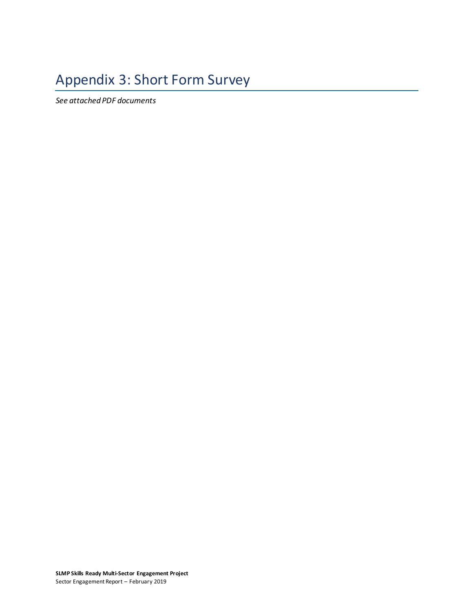# <span id="page-49-0"></span>Appendix 3: Short Form Survey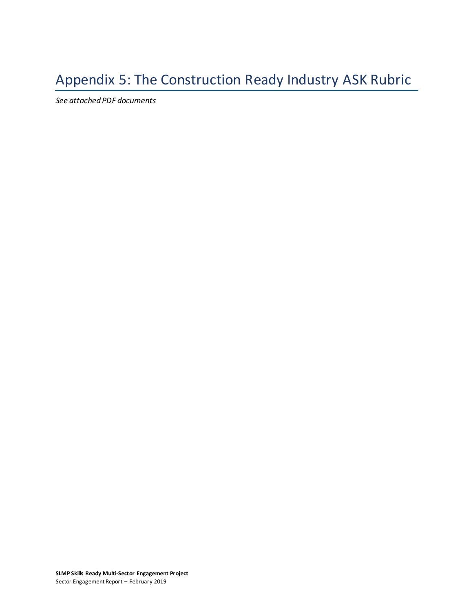# <span id="page-51-0"></span>Appendix 5: The Construction Ready Industry ASK Rubric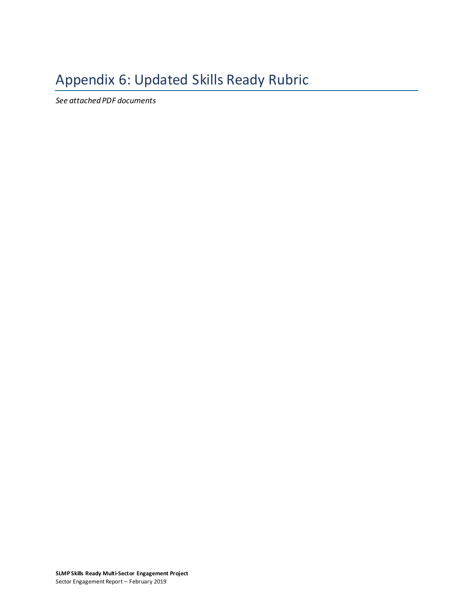# <span id="page-52-0"></span>Appendix 6: Updated Skills Ready Rubric